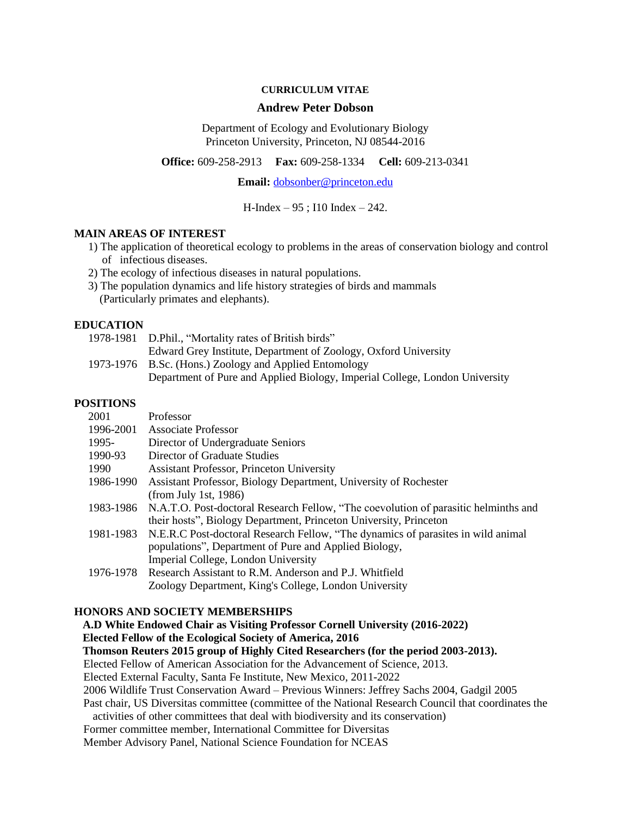#### **CURRICULUM VITAE**

#### **Andrew Peter Dobson**

Department of Ecology and Evolutionary Biology Princeton University, Princeton, NJ 08544-2016

**Office:** 609-258-2913 **Fax:** 609-258-1334 **Cell:** 609-213-0341

**Email:** [dobsonber@princeton.edu](mailto:dobson@princeton.edu)

H-Index – 95 ; I10 Index – 242.

#### **MAIN AREAS OF INTEREST**

- 1) The application of theoretical ecology to problems in the areas of conservation biology and control of infectious diseases.
- 2) The ecology of infectious diseases in natural populations.
- 3) The population dynamics and life history strategies of birds and mammals (Particularly primates and elephants).

### **EDUCATION**

| 1978-1981 D.Phil., "Mortality rates of British birds"                       |
|-----------------------------------------------------------------------------|
| Edward Grey Institute, Department of Zoology, Oxford University             |
| 1973-1976 B.Sc. (Hons.) Zoology and Applied Entomology                      |
| Department of Pure and Applied Biology, Imperial College, London University |

### **POSITIONS**

| 2001      | Professor                                                                                     |
|-----------|-----------------------------------------------------------------------------------------------|
| 1996-2001 | <b>Associate Professor</b>                                                                    |
| 1995-     | Director of Undergraduate Seniors                                                             |
| 1990-93   | Director of Graduate Studies                                                                  |
| 1990      | <b>Assistant Professor, Princeton University</b>                                              |
| 1986-1990 | Assistant Professor, Biology Department, University of Rochester                              |
|           | (from July 1st, 1986)                                                                         |
|           | 1983-1986 N.A.T.O. Post-doctoral Research Fellow, "The coevolution of parasitic helminths and |
|           | their hosts", Biology Department, Princeton University, Princeton                             |
|           | 1981-1983 N.E.R.C Post-doctoral Research Fellow, "The dynamics of parasites in wild animal    |
|           | populations", Department of Pure and Applied Biology,                                         |
|           | Imperial College, London University                                                           |
| 1976-1978 | Research Assistant to R.M. Anderson and P.J. Whitfield                                        |
|           | Zoology Department, King's College, London University                                         |

#### **HONORS AND SOCIETY MEMBERSHIPS**

 **A.D White Endowed Chair as Visiting Professor Cornell University (2016-2022) Elected Fellow of the Ecological Society of America, 2016 Thomson Reuters 2015 group of Highly Cited Researchers (for the period 2003-2013).**  Elected Fellow of American Association for the Advancement of Science, 2013. Elected External Faculty, Santa Fe Institute, New Mexico, 2011-2022 2006 Wildlife Trust Conservation Award – Previous Winners: Jeffrey Sachs 2004, Gadgil 2005 Past chair, US Diversitas committee (committee of the National Research Council that coordinates the activities of other committees that deal with biodiversity and its conservation) Former committee member, International Committee for Diversitas Member Advisory Panel, National Science Foundation for NCEAS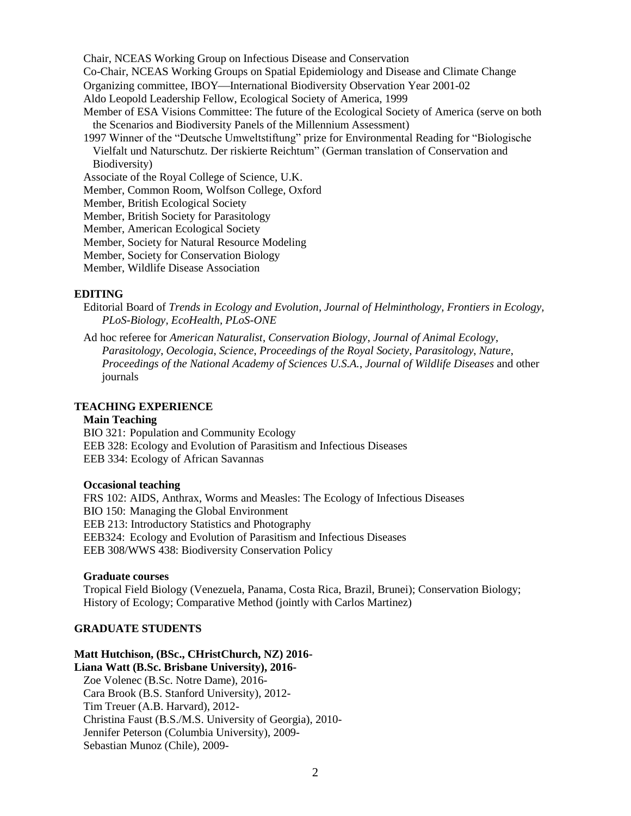Chair, NCEAS Working Group on Infectious Disease and Conservation

Co-Chair, NCEAS Working Groups on Spatial Epidemiology and Disease and Climate Change

Organizing committee, IBOY—International Biodiversity Observation Year 2001-02

Aldo Leopold Leadership Fellow, Ecological Society of America, 1999

Member of ESA Visions Committee: The future of the Ecological Society of America (serve on both the Scenarios and Biodiversity Panels of the Millennium Assessment)

1997 Winner of the "Deutsche Umweltstiftung" prize for Environmental Reading for "Biologische Vielfalt und Naturschutz. Der riskierte Reichtum" (German translation of Conservation and Biodiversity)

Associate of the Royal College of Science, U.K.

Member, Common Room, Wolfson College, Oxford

Member, British Ecological Society

Member, British Society for Parasitology

Member, American Ecological Society

Member, Society for Natural Resource Modeling

Member, Society for Conservation Biology

Member, Wildlife Disease Association

### **EDITING**

Editorial Board of *Trends in Ecology and Evolution*, *Journal of Helminthology, Frontiers in Ecology, PLoS-Biology, EcoHealth, PLoS-ONE*

Ad hoc referee for *American Naturalist*, *Conservation Biology*, *Journal of Animal Ecology*, *Parasitology*, *Oecologia*, *Science*, *Proceedings of the Royal Society*, *Parasitology*, *Nature*, *Proceedings of the National Academy of Sciences U.S.A.*, *Journal of Wildlife Diseases* and other journals

#### **TEACHING EXPERIENCE**

#### **Main Teaching**

BIO 321: Population and Community Ecology

EEB 328: Ecology and Evolution of Parasitism and Infectious Diseases

EEB 334: Ecology of African Savannas

#### **Occasional teaching**

FRS 102: AIDS, Anthrax, Worms and Measles: The Ecology of Infectious Diseases BIO 150: Managing the Global Environment EEB 213: Introductory Statistics and Photography EEB324: Ecology and Evolution of Parasitism and Infectious Diseases EEB 308/WWS 438: Biodiversity Conservation Policy

### **Graduate courses**

Tropical Field Biology (Venezuela, Panama, Costa Rica, Brazil, Brunei); Conservation Biology; History of Ecology; Comparative Method (jointly with Carlos Martinez)

## **GRADUATE STUDENTS**

#### **Matt Hutchison, (BSc., CHristChurch, NZ) 2016- Liana Watt (B.Sc. Brisbane University), 2016-**

Zoe Volenec (B.Sc. Notre Dame), 2016- Cara Brook (B.S. Stanford University), 2012- Tim Treuer (A.B. Harvard), 2012- Christina Faust (B.S./M.S. University of Georgia), 2010- Jennifer Peterson (Columbia University), 2009- Sebastian Munoz (Chile), 2009-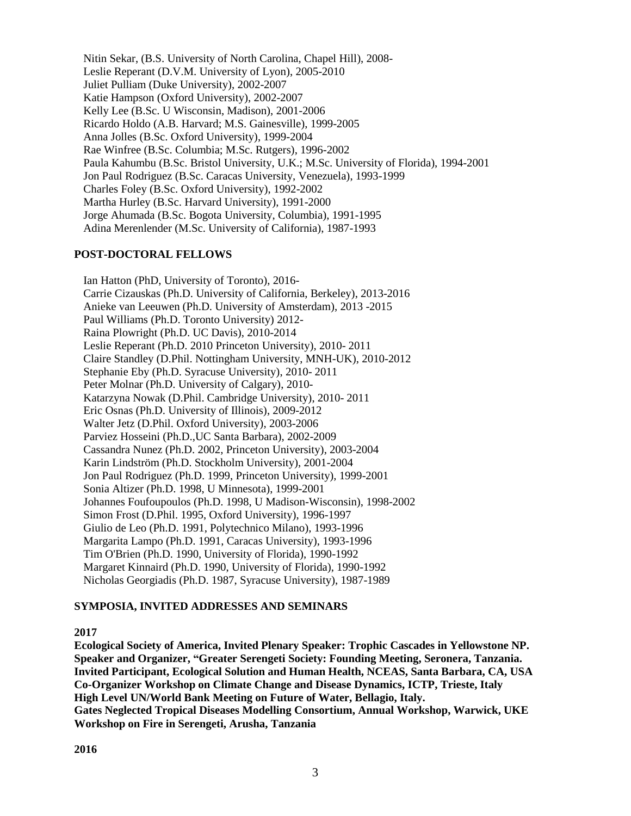Nitin Sekar, (B.S. University of North Carolina, Chapel Hill), 2008- Leslie Reperant (D.V.M. University of Lyon), 2005-2010 Juliet Pulliam (Duke University), 2002-2007 Katie Hampson (Oxford University), 2002-2007 Kelly Lee (B.Sc. U Wisconsin, Madison), 2001-2006 Ricardo Holdo (A.B. Harvard; M.S. Gainesville), 1999-2005 Anna Jolles (B.Sc. Oxford University), 1999-2004 Rae Winfree (B.Sc. Columbia; M.Sc. Rutgers), 1996-2002 Paula Kahumbu (B.Sc. Bristol University, U.K.; M.Sc. University of Florida), 1994-2001 Jon Paul Rodriguez (B.Sc. Caracas University, Venezuela), 1993-1999 Charles Foley (B.Sc. Oxford University), 1992-2002 Martha Hurley (B.Sc. Harvard University), 1991-2000 Jorge Ahumada (B.Sc. Bogota University, Columbia), 1991-1995 Adina Merenlender (M.Sc. University of California), 1987-1993

## **POST-DOCTORAL FELLOWS**

Ian Hatton (PhD, University of Toronto), 2016- Carrie Cizauskas (Ph.D. University of California, Berkeley), 2013-2016 Anieke van Leeuwen (Ph.D. University of Amsterdam), 2013 -2015 Paul Williams (Ph.D. Toronto University) 2012- Raina Plowright (Ph.D. UC Davis), 2010-2014 Leslie Reperant (Ph.D. 2010 Princeton University), 2010- 2011 Claire Standley (D.Phil. Nottingham University, MNH-UK), 2010-2012 Stephanie Eby (Ph.D. Syracuse University), 2010- 2011 Peter Molnar (Ph.D. University of Calgary), 2010- Katarzyna Nowak (D.Phil. Cambridge University), 2010- 2011 Eric Osnas (Ph.D. University of Illinois), 2009-2012 Walter Jetz (D.Phil. Oxford University), 2003-2006 Parviez Hosseini (Ph.D.,UC Santa Barbara), 2002-2009 Cassandra Nunez (Ph.D. 2002, Princeton University), 2003-2004 Karin Lindström (Ph.D. Stockholm University), 2001-2004 Jon Paul Rodriguez (Ph.D. 1999, Princeton University), 1999-2001 Sonia Altizer (Ph.D. 1998, U Minnesota), 1999-2001 Johannes Foufoupoulos (Ph.D. 1998, U Madison-Wisconsin), 1998-2002 Simon Frost (D.Phil. 1995, Oxford University), 1996-1997 Giulio de Leo (Ph.D. 1991, Polytechnico Milano), 1993-1996 Margarita Lampo (Ph.D. 1991, Caracas University), 1993-1996 Tim O'Brien (Ph.D. 1990, University of Florida), 1990-1992 Margaret Kinnaird (Ph.D. 1990, University of Florida), 1990-1992 Nicholas Georgiadis (Ph.D. 1987, Syracuse University), 1987-1989

## **SYMPOSIA, INVITED ADDRESSES AND SEMINARS**

## **2017**

**Ecological Society of America, Invited Plenary Speaker: Trophic Cascades in Yellowstone NP. Speaker and Organizer, "Greater Serengeti Society: Founding Meeting, Seronera, Tanzania. Invited Participant, Ecological Solution and Human Health, NCEAS, Santa Barbara, CA, USA Co-Organizer Workshop on Climate Change and Disease Dynamics, ICTP, Trieste, Italy High Level UN/World Bank Meeting on Future of Water, Bellagio, Italy. Gates Neglected Tropical Diseases Modelling Consortium, Annual Workshop, Warwick, UKE Workshop on Fire in Serengeti, Arusha, Tanzania**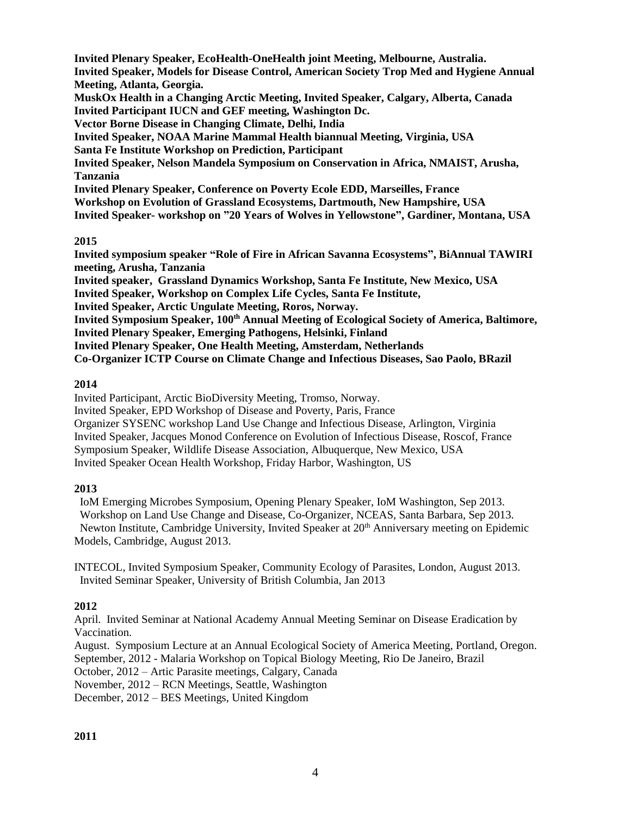**Invited Plenary Speaker, EcoHealth-OneHealth joint Meeting, Melbourne, Australia. Invited Speaker, Models for Disease Control, American Society Trop Med and Hygiene Annual Meeting, Atlanta, Georgia. MuskOx Health in a Changing Arctic Meeting, Invited Speaker, Calgary, Alberta, Canada Invited Participant IUCN and GEF meeting, Washington Dc. Vector Borne Disease in Changing Climate, Delhi, India Invited Speaker, NOAA Marine Mammal Health biannual Meeting, Virginia, USA Santa Fe Institute Workshop on Prediction, Participant Invited Speaker, Nelson Mandela Symposium on Conservation in Africa, NMAIST, Arusha, Tanzania Invited Plenary Speaker, Conference on Poverty Ecole EDD, Marseilles, France Workshop on Evolution of Grassland Ecosystems, Dartmouth, New Hampshire, USA Invited Speaker- workshop on "20 Years of Wolves in Yellowstone", Gardiner, Montana, USA 2015**

**Invited symposium speaker "Role of Fire in African Savanna Ecosystems", BiAnnual TAWIRI meeting, Arusha, Tanzania Invited speaker, Grassland Dynamics Workshop, Santa Fe Institute, New Mexico, USA Invited Speaker, Workshop on Complex Life Cycles, Santa Fe Institute, Invited Speaker, Arctic Ungulate Meeting, Roros, Norway. Invited Symposium Speaker, 100th Annual Meeting of Ecological Society of America, Baltimore, Invited Plenary Speaker, Emerging Pathogens, Helsinki, Finland Invited Plenary Speaker, One Health Meeting, Amsterdam, Netherlands Co-Organizer ICTP Course on Climate Change and Infectious Diseases, Sao Paolo, BRazil**

# **2014**

Invited Participant, Arctic BioDiversity Meeting, Tromso, Norway. Invited Speaker, EPD Workshop of Disease and Poverty, Paris, France Organizer SYSENC workshop Land Use Change and Infectious Disease, Arlington, Virginia Invited Speaker, Jacques Monod Conference on Evolution of Infectious Disease, Roscof, France Symposium Speaker, Wildlife Disease Association, Albuquerque, New Mexico, USA Invited Speaker Ocean Health Workshop, Friday Harbor, Washington, US

# **2013**

 IoM Emerging Microbes Symposium, Opening Plenary Speaker, IoM Washington, Sep 2013. Workshop on Land Use Change and Disease, Co-Organizer, NCEAS, Santa Barbara, Sep 2013. Newton Institute, Cambridge University, Invited Speaker at 20<sup>th</sup> Anniversary meeting on Epidemic Models, Cambridge, August 2013.

INTECOL, Invited Symposium Speaker, Community Ecology of Parasites, London, August 2013. Invited Seminar Speaker, University of British Columbia, Jan 2013

# **2012**

April. Invited Seminar at National Academy Annual Meeting Seminar on Disease Eradication by Vaccination.

August. Symposium Lecture at an Annual Ecological Society of America Meeting, Portland, Oregon. September, 2012 - Malaria Workshop on Topical Biology Meeting, Rio De Janeiro, Brazil

October, 2012 – Artic Parasite meetings, Calgary, Canada

November, 2012 – RCN Meetings, Seattle, Washington

December, 2012 – BES Meetings, United Kingdom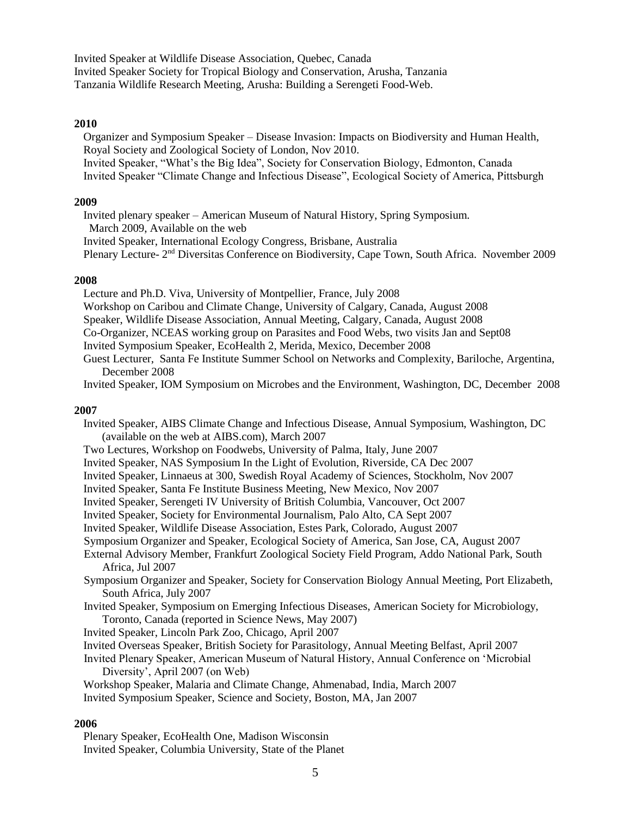Invited Speaker at Wildlife Disease Association, Quebec, Canada Invited Speaker Society for Tropical Biology and Conservation, Arusha, Tanzania Tanzania Wildlife Research Meeting, Arusha: Building a Serengeti Food-Web.

### **2010**

Organizer and Symposium Speaker – Disease Invasion: Impacts on Biodiversity and Human Health, Royal Society and Zoological Society of London, Nov 2010.

Invited Speaker, "What's the Big Idea", Society for Conservation Biology, Edmonton, Canada Invited Speaker "Climate Change and Infectious Disease", Ecological Society of America, Pittsburgh

### **2009**

Invited plenary speaker – American Museum of Natural History, Spring Symposium. March 2009, Available on the web

Invited Speaker, International Ecology Congress, Brisbane, Australia

Plenary Lecture- 2<sup>nd</sup> Diversitas Conference on Biodiversity, Cape Town, South Africa. November 2009

### **2008**

Lecture and Ph.D. Viva, University of Montpellier, France, July 2008 Workshop on Caribou and Climate Change, University of Calgary, Canada, August 2008 Speaker, Wildlife Disease Association, Annual Meeting, Calgary, Canada, August 2008 Co-Organizer, NCEAS working group on Parasites and Food Webs, two visits Jan and Sept08 Invited Symposium Speaker, EcoHealth 2, Merida, Mexico, December 2008

Guest Lecturer, Santa Fe Institute Summer School on Networks and Complexity, Bariloche, Argentina, December 2008

Invited Speaker, IOM Symposium on Microbes and the Environment, Washington, DC, December 2008

## **2007**

Invited Speaker, AIBS Climate Change and Infectious Disease, Annual Symposium, Washington, DC (available on the web at AIBS.com), March 2007

Two Lectures, Workshop on Foodwebs, University of Palma, Italy, June 2007

- Invited Speaker, NAS Symposium In the Light of Evolution, Riverside, CA Dec 2007
- Invited Speaker, Linnaeus at 300, Swedish Royal Academy of Sciences, Stockholm, Nov 2007
- Invited Speaker, Santa Fe Institute Business Meeting, New Mexico, Nov 2007
- Invited Speaker, Serengeti IV University of British Columbia, Vancouver, Oct 2007
- Invited Speaker, Society for Environmental Journalism, Palo Alto, CA Sept 2007

Invited Speaker, Wildlife Disease Association, Estes Park, Colorado, August 2007

Symposium Organizer and Speaker, Ecological Society of America, San Jose, CA, August 2007

- External Advisory Member, Frankfurt Zoological Society Field Program, Addo National Park, South Africa, Jul 2007
- Symposium Organizer and Speaker, Society for Conservation Biology Annual Meeting, Port Elizabeth, South Africa, July 2007
- Invited Speaker, Symposium on Emerging Infectious Diseases, American Society for Microbiology, Toronto, Canada (reported in Science News, May 2007)
- Invited Speaker, Lincoln Park Zoo, Chicago, April 2007
- Invited Overseas Speaker, British Society for Parasitology, Annual Meeting Belfast, April 2007
- Invited Plenary Speaker, American Museum of Natural History, Annual Conference on 'Microbial Diversity', April 2007 (on Web)

Workshop Speaker, Malaria and Climate Change, Ahmenabad, India, March 2007

Invited Symposium Speaker, Science and Society, Boston, MA, Jan 2007

## **2006**

Plenary Speaker, EcoHealth One, Madison Wisconsin Invited Speaker, Columbia University, State of the Planet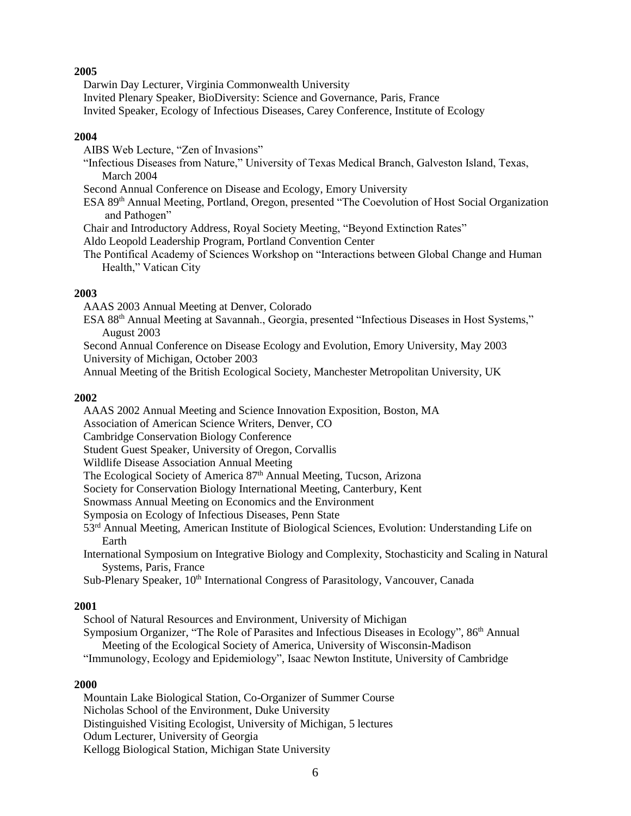## **2005**

Darwin Day Lecturer, Virginia Commonwealth University

Invited Plenary Speaker, BioDiversity: Science and Governance, Paris, France

Invited Speaker, Ecology of Infectious Diseases, Carey Conference, Institute of Ecology

# **2004**

AIBS Web Lecture, "Zen of Invasions"

"Infectious Diseases from Nature," University of Texas Medical Branch, Galveston Island, Texas, March 2004

Second Annual Conference on Disease and Ecology, Emory University

ESA 89th Annual Meeting, Portland, Oregon, presented "The Coevolution of Host Social Organization and Pathogen"

Chair and Introductory Address, Royal Society Meeting, "Beyond Extinction Rates"

Aldo Leopold Leadership Program, Portland Convention Center

The Pontifical Academy of Sciences Workshop on "Interactions between Global Change and Human Health," Vatican City

# **2003**

AAAS 2003 Annual Meeting at Denver, Colorado

ESA 88th Annual Meeting at Savannah., Georgia, presented "Infectious Diseases in Host Systems," August 2003

Second Annual Conference on Disease Ecology and Evolution, Emory University, May 2003 University of Michigan, October 2003

Annual Meeting of the British Ecological Society, Manchester Metropolitan University, UK

# **2002**

AAAS 2002 Annual Meeting and Science Innovation Exposition, Boston, MA

Association of American Science Writers, Denver, CO

Cambridge Conservation Biology Conference

Student Guest Speaker, University of Oregon, Corvallis

Wildlife Disease Association Annual Meeting

The Ecological Society of America 87<sup>th</sup> Annual Meeting, Tucson, Arizona

Society for Conservation Biology International Meeting, Canterbury, Kent

Snowmass Annual Meeting on Economics and the Environment

Symposia on Ecology of Infectious Diseases, Penn State

53rd Annual Meeting, American Institute of Biological Sciences, Evolution: Understanding Life on Earth

International Symposium on Integrative Biology and Complexity, Stochasticity and Scaling in Natural Systems, Paris, France

Sub-Plenary Speaker, 10th International Congress of Parasitology, Vancouver, Canada

## **2001**

School of Natural Resources and Environment, University of Michigan Symposium Organizer, "The Role of Parasites and Infectious Diseases in Ecology", 86th Annual Meeting of the Ecological Society of America, University of Wisconsin-Madison "Immunology, Ecology and Epidemiology", Isaac Newton Institute, University of Cambridge

## **2000**

Mountain Lake Biological Station, Co-Organizer of Summer Course Nicholas School of the Environment, Duke University Distinguished Visiting Ecologist, University of Michigan, 5 lectures Odum Lecturer, University of Georgia Kellogg Biological Station, Michigan State University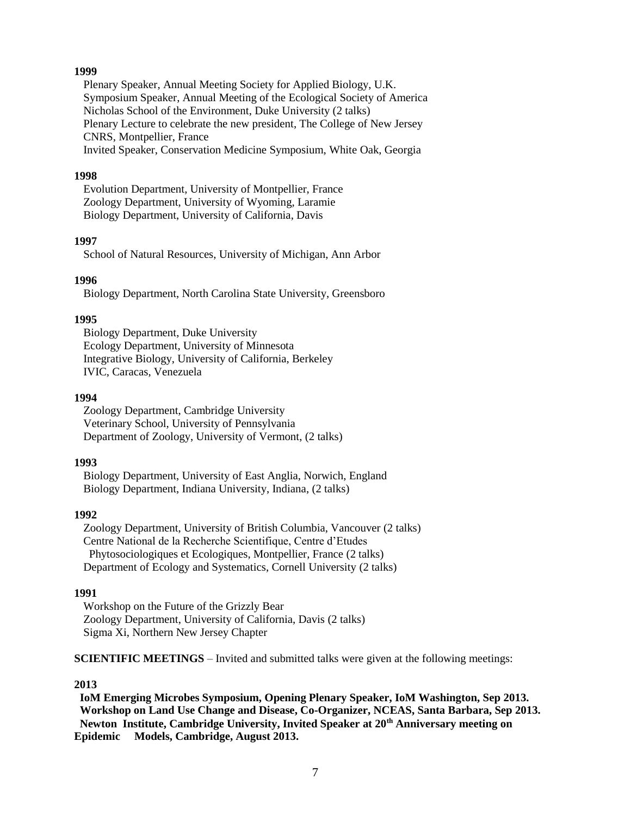### **1999**

Plenary Speaker, Annual Meeting Society for Applied Biology, U.K. Symposium Speaker, Annual Meeting of the Ecological Society of America Nicholas School of the Environment, Duke University (2 talks) Plenary Lecture to celebrate the new president, The College of New Jersey CNRS, Montpellier, France Invited Speaker, Conservation Medicine Symposium, White Oak, Georgia

#### **1998**

Evolution Department, University of Montpellier, France Zoology Department, University of Wyoming, Laramie Biology Department, University of California, Davis

#### **1997**

School of Natural Resources, University of Michigan, Ann Arbor

### **1996**

Biology Department, North Carolina State University, Greensboro

#### **1995**

Biology Department, Duke University Ecology Department, University of Minnesota Integrative Biology, University of California, Berkeley IVIC, Caracas, Venezuela

### **1994**

Zoology Department, Cambridge University Veterinary School, University of Pennsylvania Department of Zoology, University of Vermont, (2 talks)

#### **1993**

Biology Department, University of East Anglia, Norwich, England Biology Department, Indiana University, Indiana, (2 talks)

#### **1992**

Zoology Department, University of British Columbia, Vancouver (2 talks) Centre National de la Recherche Scientifique, Centre d'Etudes Phytosociologiques et Ecologiques, Montpellier, France (2 talks) Department of Ecology and Systematics, Cornell University (2 talks)

#### **1991**

Workshop on the Future of the Grizzly Bear Zoology Department, University of California, Davis (2 talks) Sigma Xi, Northern New Jersey Chapter

**SCIENTIFIC MEETINGS** – Invited and submitted talks were given at the following meetings:

#### **2013**

 **IoM Emerging Microbes Symposium, Opening Plenary Speaker, IoM Washington, Sep 2013. Workshop on Land Use Change and Disease, Co-Organizer, NCEAS, Santa Barbara, Sep 2013. Newton Institute, Cambridge University, Invited Speaker at 20th Anniversary meeting on Epidemic Models, Cambridge, August 2013.**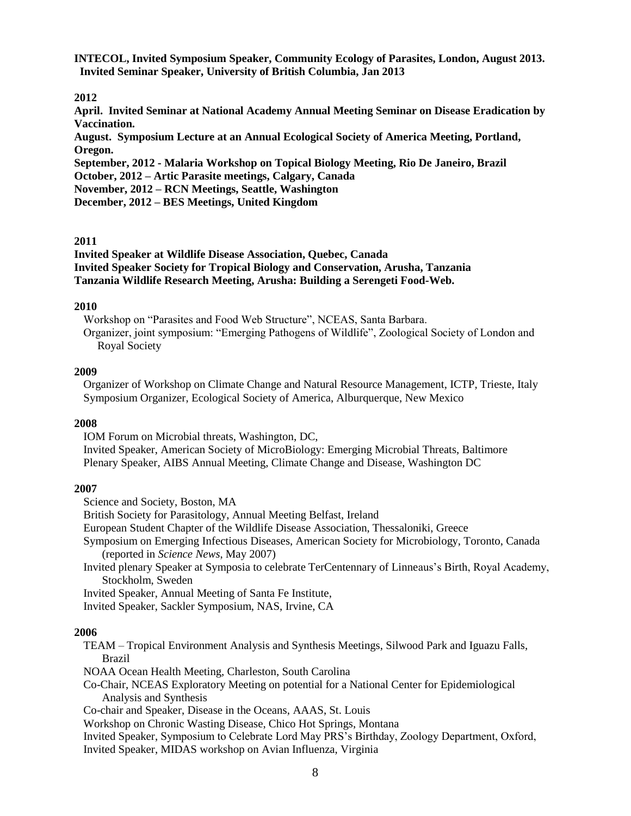**INTECOL, Invited Symposium Speaker, Community Ecology of Parasites, London, August 2013. Invited Seminar Speaker, University of British Columbia, Jan 2013**

### **2012**

**April. Invited Seminar at National Academy Annual Meeting Seminar on Disease Eradication by Vaccination.**

**August. Symposium Lecture at an Annual Ecological Society of America Meeting, Portland, Oregon.**

**September, 2012 - Malaria Workshop on Topical Biology Meeting, Rio De Janeiro, Brazil October, 2012 – Artic Parasite meetings, Calgary, Canada**

**November, 2012 – RCN Meetings, Seattle, Washington**

**December, 2012 – BES Meetings, United Kingdom**

#### **2011**

**Invited Speaker at Wildlife Disease Association, Quebec, Canada Invited Speaker Society for Tropical Biology and Conservation, Arusha, Tanzania Tanzania Wildlife Research Meeting, Arusha: Building a Serengeti Food-Web.**

### **2010**

Workshop on "Parasites and Food Web Structure", NCEAS, Santa Barbara. Organizer, joint symposium: "Emerging Pathogens of Wildlife", Zoological Society of London and Royal Society

### **2009**

Organizer of Workshop on Climate Change and Natural Resource Management, ICTP, Trieste, Italy Symposium Organizer, Ecological Society of America, Alburquerque, New Mexico

## **2008**

IOM Forum on Microbial threats, Washington, DC, Invited Speaker, American Society of MicroBiology: Emerging Microbial Threats, Baltimore Plenary Speaker, AIBS Annual Meeting, Climate Change and Disease, Washington DC

## **2007**

Science and Society, Boston, MA

British Society for Parasitology, Annual Meeting Belfast, Ireland

European Student Chapter of the Wildlife Disease Association, Thessaloniki, Greece

Symposium on Emerging Infectious Diseases, American Society for Microbiology, Toronto, Canada (reported in *Science News*, May 2007)

Invited plenary Speaker at Symposia to celebrate TerCentennary of Linneaus's Birth, Royal Academy, Stockholm, Sweden

Invited Speaker, Annual Meeting of Santa Fe Institute,

Invited Speaker, Sackler Symposium, NAS, Irvine, CA

## **2006**

TEAM – Tropical Environment Analysis and Synthesis Meetings, Silwood Park and Iguazu Falls, Brazil

NOAA Ocean Health Meeting, Charleston, South Carolina

Co-Chair, NCEAS Exploratory Meeting on potential for a National Center for Epidemiological Analysis and Synthesis

Co-chair and Speaker, Disease in the Oceans, AAAS, St. Louis

Workshop on Chronic Wasting Disease, Chico Hot Springs, Montana

Invited Speaker, Symposium to Celebrate Lord May PRS's Birthday, Zoology Department, Oxford, Invited Speaker, MIDAS workshop on Avian Influenza, Virginia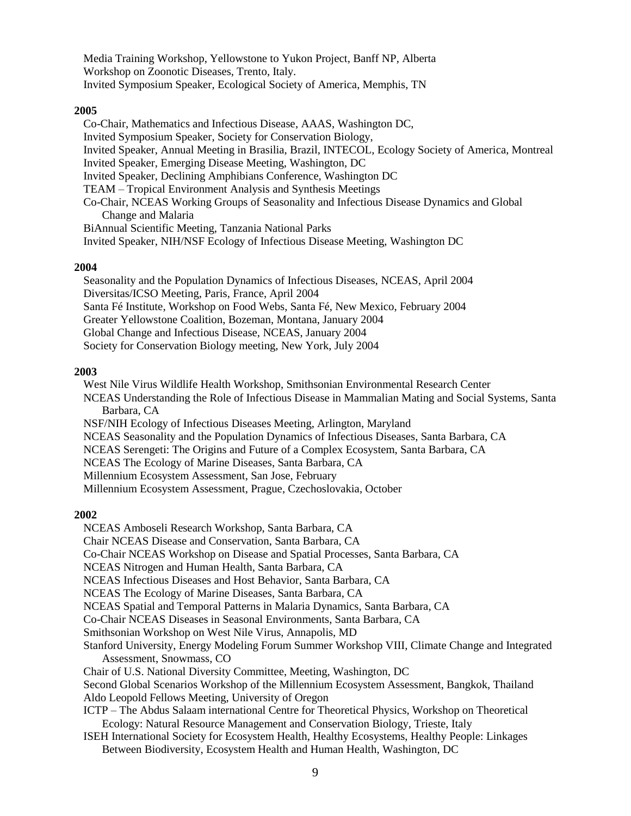Media Training Workshop, Yellowstone to Yukon Project, Banff NP, Alberta Workshop on Zoonotic Diseases, Trento, Italy. Invited Symposium Speaker, Ecological Society of America, Memphis, TN

### **2005**

Co-Chair, Mathematics and Infectious Disease, AAAS, Washington DC, Invited Symposium Speaker, Society for Conservation Biology, Invited Speaker, Annual Meeting in Brasilia, Brazil, INTECOL, Ecology Society of America, Montreal Invited Speaker, Emerging Disease Meeting, Washington, DC Invited Speaker, Declining Amphibians Conference, Washington DC TEAM – Tropical Environment Analysis and Synthesis Meetings Co-Chair, NCEAS Working Groups of Seasonality and Infectious Disease Dynamics and Global Change and Malaria BiAnnual Scientific Meeting, Tanzania National Parks Invited Speaker, NIH/NSF Ecology of Infectious Disease Meeting, Washington DC

#### **2004**

Seasonality and the Population Dynamics of Infectious Diseases, NCEAS, April 2004 Diversitas/ICSO Meeting, Paris, France, April 2004 Santa Fé Institute, Workshop on Food Webs, Santa Fé, New Mexico, February 2004 Greater Yellowstone Coalition, Bozeman, Montana, January 2004 Global Change and Infectious Disease, NCEAS, January 2004 Society for Conservation Biology meeting, New York, July 2004

#### **2003**

West Nile Virus Wildlife Health Workshop, Smithsonian Environmental Research Center NCEAS Understanding the Role of Infectious Disease in Mammalian Mating and Social Systems, Santa Barbara, CA NSF/NIH Ecology of Infectious Diseases Meeting, Arlington, Maryland NCEAS Seasonality and the Population Dynamics of Infectious Diseases, Santa Barbara, CA NCEAS Serengeti: The Origins and Future of a Complex Ecosystem, Santa Barbara, CA NCEAS The Ecology of Marine Diseases, Santa Barbara, CA Millennium Ecosystem Assessment, San Jose, February Millennium Ecosystem Assessment, Prague, Czechoslovakia, October

#### **2002**

NCEAS Amboseli Research Workshop, Santa Barbara, CA Chair NCEAS Disease and Conservation, Santa Barbara, CA Co-Chair NCEAS Workshop on Disease and Spatial Processes, Santa Barbara, CA NCEAS Nitrogen and Human Health, Santa Barbara, CA NCEAS Infectious Diseases and Host Behavior, Santa Barbara, CA NCEAS The Ecology of Marine Diseases, Santa Barbara, CA NCEAS Spatial and Temporal Patterns in Malaria Dynamics, Santa Barbara, CA Co-Chair NCEAS Diseases in Seasonal Environments, Santa Barbara, CA Smithsonian Workshop on West Nile Virus, Annapolis, MD Stanford University, Energy Modeling Forum Summer Workshop VIII, Climate Change and Integrated Assessment, Snowmass, CO Chair of U.S. National Diversity Committee, Meeting, Washington, DC Second Global Scenarios Workshop of the Millennium Ecosystem Assessment, Bangkok, Thailand Aldo Leopold Fellows Meeting, University of Oregon ICTP – The Abdus Salaam international Centre for Theoretical Physics, Workshop on Theoretical Ecology: Natural Resource Management and Conservation Biology, Trieste, Italy ISEH International Society for Ecosystem Health, Healthy Ecosystems, Healthy People: Linkages Between Biodiversity, Ecosystem Health and Human Health, Washington, DC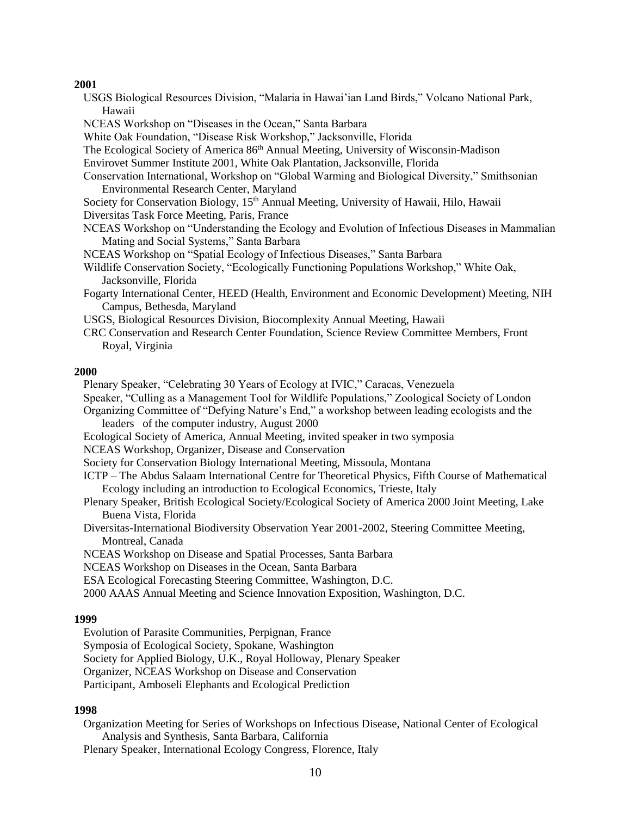### **2001**

- USGS Biological Resources Division, "Malaria in Hawai'ian Land Birds," Volcano National Park, Hawaii
- NCEAS Workshop on "Diseases in the Ocean," Santa Barbara
- White Oak Foundation, "Disease Risk Workshop," Jacksonville, Florida
- The Ecological Society of America 86<sup>th</sup> Annual Meeting, University of Wisconsin-Madison
- Envirovet Summer Institute 2001, White Oak Plantation, Jacksonville, Florida
- Conservation International, Workshop on "Global Warming and Biological Diversity," Smithsonian Environmental Research Center, Maryland
- Society for Conservation Biology, 15<sup>th</sup> Annual Meeting, University of Hawaii, Hilo, Hawaii Diversitas Task Force Meeting, Paris, France
- NCEAS Workshop on "Understanding the Ecology and Evolution of Infectious Diseases in Mammalian Mating and Social Systems," Santa Barbara
- NCEAS Workshop on "Spatial Ecology of Infectious Diseases," Santa Barbara
- Wildlife Conservation Society, "Ecologically Functioning Populations Workshop," White Oak, Jacksonville, Florida
- Fogarty International Center, HEED (Health, Environment and Economic Development) Meeting, NIH Campus, Bethesda, Maryland
- USGS, Biological Resources Division, Biocomplexity Annual Meeting, Hawaii
- CRC Conservation and Research Center Foundation, Science Review Committee Members, Front Royal, Virginia

#### **2000**

Plenary Speaker, "Celebrating 30 Years of Ecology at IVIC," Caracas, Venezuela

Speaker, "Culling as a Management Tool for Wildlife Populations," Zoological Society of London

Organizing Committee of "Defying Nature's End," a workshop between leading ecologists and the leaders of the computer industry, August 2000

- Ecological Society of America, Annual Meeting, invited speaker in two symposia
- NCEAS Workshop, Organizer, Disease and Conservation
- Society for Conservation Biology International Meeting, Missoula, Montana
- ICTP The Abdus Salaam International Centre for Theoretical Physics, Fifth Course of Mathematical Ecology including an introduction to Ecological Economics, Trieste, Italy
- Plenary Speaker, British Ecological Society/Ecological Society of America 2000 Joint Meeting, Lake Buena Vista, Florida
- Diversitas-International Biodiversity Observation Year 2001-2002, Steering Committee Meeting, Montreal, Canada
- NCEAS Workshop on Disease and Spatial Processes, Santa Barbara
- NCEAS Workshop on Diseases in the Ocean, Santa Barbara
- ESA Ecological Forecasting Steering Committee, Washington, D.C.

2000 AAAS Annual Meeting and Science Innovation Exposition, Washington, D.C.

#### **1999**

Evolution of Parasite Communities, Perpignan, France

Symposia of Ecological Society, Spokane, Washington

Society for Applied Biology, U.K., Royal Holloway, Plenary Speaker

Organizer, NCEAS Workshop on Disease and Conservation

Participant, Amboseli Elephants and Ecological Prediction

# **1998**

Organization Meeting for Series of Workshops on Infectious Disease, National Center of Ecological Analysis and Synthesis, Santa Barbara, California

Plenary Speaker, International Ecology Congress, Florence, Italy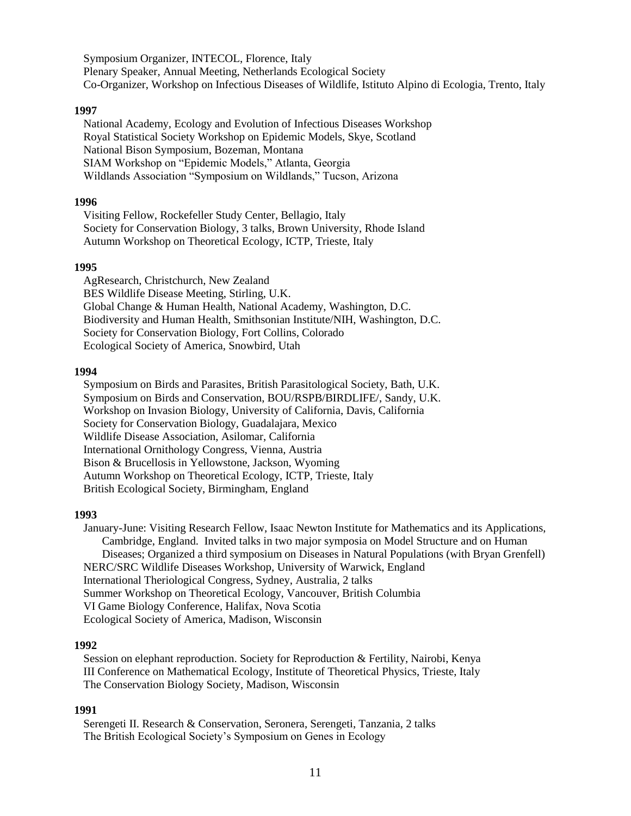Symposium Organizer, INTECOL, Florence, Italy Plenary Speaker, Annual Meeting, Netherlands Ecological Society Co-Organizer, Workshop on Infectious Diseases of Wildlife, Istituto Alpino di Ecologia, Trento, Italy

### **1997**

National Academy, Ecology and Evolution of Infectious Diseases Workshop Royal Statistical Society Workshop on Epidemic Models, Skye, Scotland National Bison Symposium, Bozeman, Montana SIAM Workshop on "Epidemic Models," Atlanta, Georgia Wildlands Association "Symposium on Wildlands," Tucson, Arizona

#### **1996**

Visiting Fellow, Rockefeller Study Center, Bellagio, Italy Society for Conservation Biology, 3 talks, Brown University, Rhode Island Autumn Workshop on Theoretical Ecology, ICTP, Trieste, Italy

#### **1995**

AgResearch, Christchurch, New Zealand BES Wildlife Disease Meeting, Stirling, U.K. Global Change & Human Health, National Academy, Washington, D.C. Biodiversity and Human Health, Smithsonian Institute/NIH, Washington, D.C. Society for Conservation Biology, Fort Collins, Colorado Ecological Society of America, Snowbird, Utah

### **1994**

Symposium on Birds and Parasites, British Parasitological Society, Bath, U.K. Symposium on Birds and Conservation, BOU/RSPB/BIRDLIFE/, Sandy, U.K. Workshop on Invasion Biology, University of California, Davis, California Society for Conservation Biology, Guadalajara, Mexico Wildlife Disease Association, Asilomar, California International Ornithology Congress, Vienna, Austria Bison & Brucellosis in Yellowstone, Jackson, Wyoming Autumn Workshop on Theoretical Ecology, ICTP, Trieste, Italy British Ecological Society, Birmingham, England

#### **1993**

January-June: Visiting Research Fellow, Isaac Newton Institute for Mathematics and its Applications, Cambridge, England. Invited talks in two major symposia on Model Structure and on Human Diseases; Organized a third symposium on Diseases in Natural Populations (with Bryan Grenfell) NERC/SRC Wildlife Diseases Workshop, University of Warwick, England International Theriological Congress, Sydney, Australia, 2 talks Summer Workshop on Theoretical Ecology, Vancouver, British Columbia VI Game Biology Conference, Halifax, Nova Scotia Ecological Society of America, Madison, Wisconsin

#### **1992**

Session on elephant reproduction. Society for Reproduction & Fertility, Nairobi, Kenya III Conference on Mathematical Ecology, Institute of Theoretical Physics, Trieste, Italy The Conservation Biology Society, Madison, Wisconsin

#### **1991**

Serengeti II. Research & Conservation, Seronera, Serengeti, Tanzania, 2 talks The British Ecological Society's Symposium on Genes in Ecology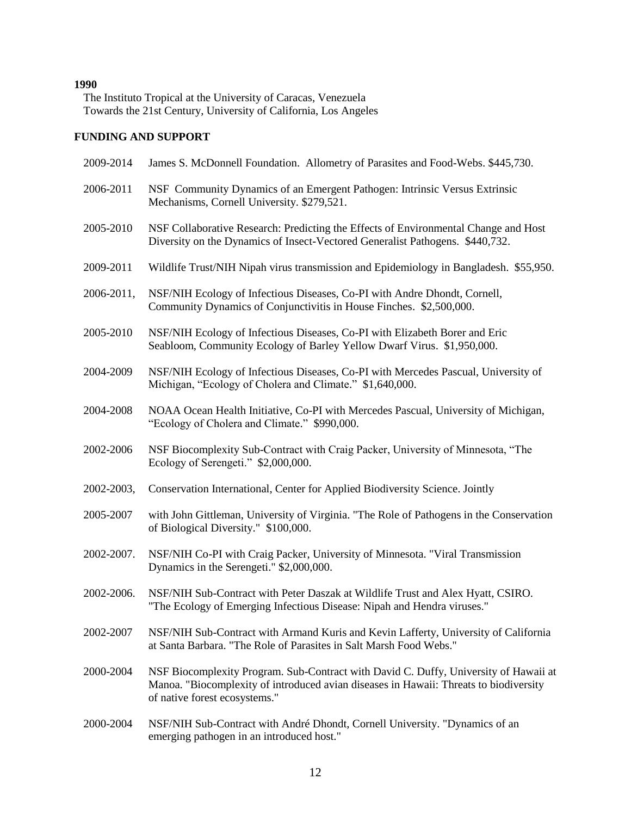# **1990**

The Instituto Tropical at the University of Caracas, Venezuela Towards the 21st Century, University of California, Los Angeles

# **FUNDING AND SUPPORT**

| 2009-2014  | James S. McDonnell Foundation. Allometry of Parasites and Food-Webs. \$445,730.                                                                                                                                |
|------------|----------------------------------------------------------------------------------------------------------------------------------------------------------------------------------------------------------------|
| 2006-2011  | NSF Community Dynamics of an Emergent Pathogen: Intrinsic Versus Extrinsic<br>Mechanisms, Cornell University. \$279,521.                                                                                       |
| 2005-2010  | NSF Collaborative Research: Predicting the Effects of Environmental Change and Host<br>Diversity on the Dynamics of Insect-Vectored Generalist Pathogens. \$440,732.                                           |
| 2009-2011  | Wildlife Trust/NIH Nipah virus transmission and Epidemiology in Bangladesh. \$55,950.                                                                                                                          |
| 2006-2011, | NSF/NIH Ecology of Infectious Diseases, Co-PI with Andre Dhondt, Cornell,<br>Community Dynamics of Conjunctivitis in House Finches. \$2,500,000.                                                               |
| 2005-2010  | NSF/NIH Ecology of Infectious Diseases, Co-PI with Elizabeth Borer and Eric<br>Seabloom, Community Ecology of Barley Yellow Dwarf Virus. \$1,950,000.                                                          |
| 2004-2009  | NSF/NIH Ecology of Infectious Diseases, Co-PI with Mercedes Pascual, University of<br>Michigan, "Ecology of Cholera and Climate." \$1,640,000.                                                                 |
| 2004-2008  | NOAA Ocean Health Initiative, Co-PI with Mercedes Pascual, University of Michigan,<br>"Ecology of Cholera and Climate." \$990,000.                                                                             |
| 2002-2006  | NSF Biocomplexity Sub-Contract with Craig Packer, University of Minnesota, "The<br>Ecology of Serengeti." \$2,000,000.                                                                                         |
| 2002-2003, | Conservation International, Center for Applied Biodiversity Science. Jointly                                                                                                                                   |
| 2005-2007  | with John Gittleman, University of Virginia. "The Role of Pathogens in the Conservation<br>of Biological Diversity." \$100,000.                                                                                |
| 2002-2007. | NSF/NIH Co-PI with Craig Packer, University of Minnesota. "Viral Transmission<br>Dynamics in the Serengeti." \$2,000,000.                                                                                      |
| 2002-2006. | NSF/NIH Sub-Contract with Peter Daszak at Wildlife Trust and Alex Hyatt, CSIRO.<br>"The Ecology of Emerging Infectious Disease: Nipah and Hendra viruses."                                                     |
| 2002-2007  | NSF/NIH Sub-Contract with Armand Kuris and Kevin Lafferty, University of California<br>at Santa Barbara. "The Role of Parasites in Salt Marsh Food Webs."                                                      |
| 2000-2004  | NSF Biocomplexity Program. Sub-Contract with David C. Duffy, University of Hawaii at<br>Manoa. "Biocomplexity of introduced avian diseases in Hawaii: Threats to biodiversity<br>of native forest ecosystems." |
| 2000-2004  | NSF/NIH Sub-Contract with André Dhondt, Cornell University. "Dynamics of an<br>emerging pathogen in an introduced host."                                                                                       |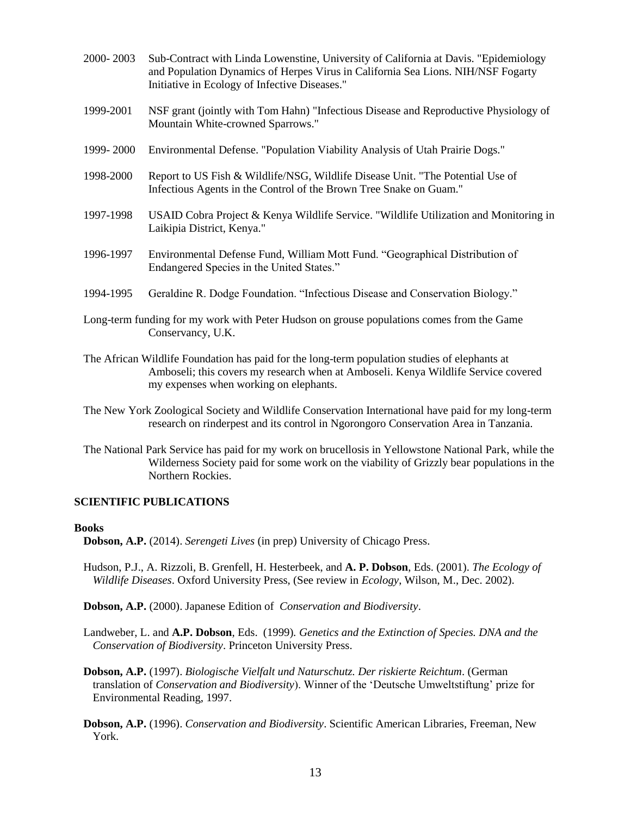- 2000- 2003 Sub-Contract with Linda Lowenstine, University of California at Davis. "Epidemiology and Population Dynamics of Herpes Virus in California Sea Lions. NIH/NSF Fogarty Initiative in Ecology of Infective Diseases."
- 1999-2001 NSF grant (jointly with Tom Hahn) "Infectious Disease and Reproductive Physiology of Mountain White-crowned Sparrows."
- 1999- 2000 Environmental Defense. "Population Viability Analysis of Utah Prairie Dogs."
- 1998-2000 Report to US Fish & Wildlife/NSG, Wildlife Disease Unit. "The Potential Use of Infectious Agents in the Control of the Brown Tree Snake on Guam."
- 1997-1998 USAID Cobra Project & Kenya Wildlife Service. "Wildlife Utilization and Monitoring in Laikipia District, Kenya."
- 1996-1997 Environmental Defense Fund, William Mott Fund. "Geographical Distribution of Endangered Species in the United States."
- 1994-1995 Geraldine R. Dodge Foundation. "Infectious Disease and Conservation Biology."
- Long-term funding for my work with Peter Hudson on grouse populations comes from the Game Conservancy, U.K.
- The African Wildlife Foundation has paid for the long-term population studies of elephants at Amboseli; this covers my research when at Amboseli. Kenya Wildlife Service covered my expenses when working on elephants.
- The New York Zoological Society and Wildlife Conservation International have paid for my long-term research on rinderpest and its control in Ngorongoro Conservation Area in Tanzania.
- The National Park Service has paid for my work on brucellosis in Yellowstone National Park, while the Wilderness Society paid for some work on the viability of Grizzly bear populations in the Northern Rockies.

## **SCIENTIFIC PUBLICATIONS**

#### **Books**

- **Dobson, A.P.** (2014). *Serengeti Lives* (in prep) University of Chicago Press.
- Hudson, P.J., A. Rizzoli, B. Grenfell, H. Hesterbeek, and **A. P. Dobson**, Eds. (2001). *The Ecology of Wildlife Diseases*. Oxford University Press, (See review in *Ecology*, Wilson, M., Dec. 2002).
- **Dobson, A.P.** (2000). Japanese Edition of *Conservation and Biodiversity*.
- Landweber, L. and **A.P. Dobson**, Eds. (1999)*. Genetics and the Extinction of Species. DNA and the Conservation of Biodiversity*. Princeton University Press.
- **Dobson, A.P.** (1997). *Biologische Vielfalt und Naturschutz. Der riskierte Reichtum*. (German translation of *Conservation and Biodiversity*). Winner of the 'Deutsche Umweltstiftung' prize for Environmental Reading, 1997.
- **Dobson, A.P.** (1996). *Conservation and Biodiversity*. Scientific American Libraries, Freeman, New York.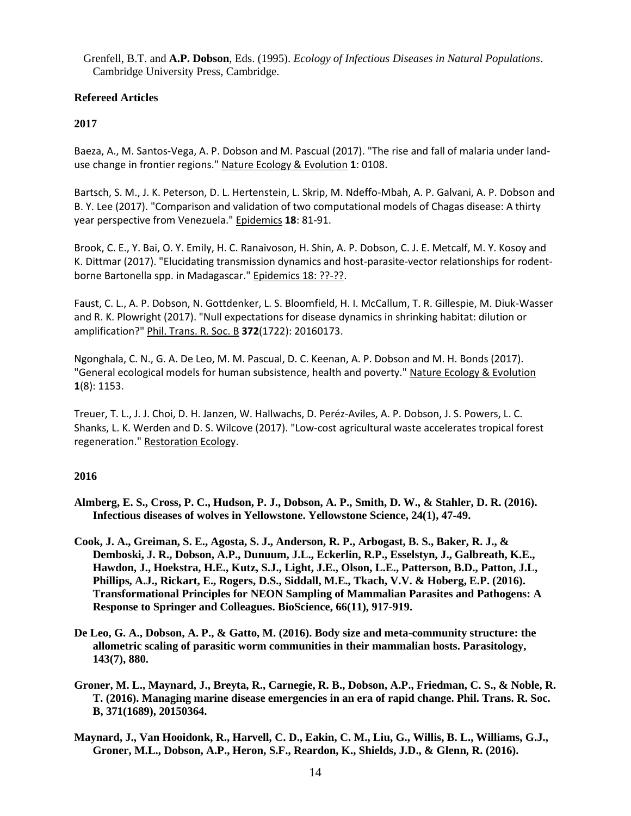Grenfell, B.T. and **A.P. Dobson**, Eds. (1995). *Ecology of Infectious Diseases in Natural Populations*. Cambridge University Press, Cambridge.

# **Refereed Articles**

# **2017**

Baeza, A., M. Santos-Vega, A. P. Dobson and M. Pascual (2017). "The rise and fall of malaria under landuse change in frontier regions." Nature Ecology & Evolution **1**: 0108.

Bartsch, S. M., J. K. Peterson, D. L. Hertenstein, L. Skrip, M. Ndeffo-Mbah, A. P. Galvani, A. P. Dobson and B. Y. Lee (2017). "Comparison and validation of two computational models of Chagas disease: A thirty year perspective from Venezuela." Epidemics **18**: 81-91.

Brook, C. E., Y. Bai, O. Y. Emily, H. C. Ranaivoson, H. Shin, A. P. Dobson, C. J. E. Metcalf, M. Y. Kosoy and K. Dittmar (2017). "Elucidating transmission dynamics and host-parasite-vector relationships for rodentborne Bartonella spp. in Madagascar." Epidemics 18: ??-??.

Faust, C. L., A. P. Dobson, N. Gottdenker, L. S. Bloomfield, H. I. McCallum, T. R. Gillespie, M. Diuk-Wasser and R. K. Plowright (2017). "Null expectations for disease dynamics in shrinking habitat: dilution or amplification?" Phil. Trans. R. Soc. B **372**(1722): 20160173.

Ngonghala, C. N., G. A. De Leo, M. M. Pascual, D. C. Keenan, A. P. Dobson and M. H. Bonds (2017). "General ecological models for human subsistence, health and poverty." Nature Ecology & Evolution **1**(8): 1153.

Treuer, T. L., J. J. Choi, D. H. Janzen, W. Hallwachs, D. Peréz‐Aviles, A. P. Dobson, J. S. Powers, L. C. Shanks, L. K. Werden and D. S. Wilcove (2017). "Low‐cost agricultural waste accelerates tropical forest regeneration." Restoration Ecology.

## **2016**

- **Almberg, E. S., Cross, P. C., Hudson, P. J., Dobson, A. P., Smith, D. W., & Stahler, D. R. (2016). Infectious diseases of wolves in Yellowstone. Yellowstone Science, 24(1), 47-49.**
- **Cook, J. A., Greiman, S. E., Agosta, S. J., Anderson, R. P., Arbogast, B. S., Baker, R. J., & Demboski, J. R., Dobson, A.P., Dunuum, J.L., Eckerlin, R.P., Esselstyn, J., Galbreath, K.E., Hawdon, J., Hoekstra, H.E., Kutz, S.J., Light, J.E., Olson, L.E., Patterson, B.D., Patton, J.L, Phillips, A.J., Rickart, E., Rogers, D.S., Siddall, M.E., Tkach, V.V. & Hoberg, E.P. (2016). Transformational Principles for NEON Sampling of Mammalian Parasites and Pathogens: A Response to Springer and Colleagues. BioScience, 66(11), 917-919.**
- **De Leo, G. A., Dobson, A. P., & Gatto, M. (2016). Body size and meta-community structure: the allometric scaling of parasitic worm communities in their mammalian hosts. Parasitology, 143(7), 880.**
- **Groner, M. L., Maynard, J., Breyta, R., Carnegie, R. B., Dobson, A.P., Friedman, C. S., & Noble, R. T. (2016). Managing marine disease emergencies in an era of rapid change. Phil. Trans. R. Soc. B, 371(1689), 20150364.**
- **Maynard, J., Van Hooidonk, R., Harvell, C. D., Eakin, C. M., Liu, G., Willis, B. L., Williams, G.J., Groner, M.L., Dobson, A.P., Heron, S.F., Reardon, K., Shields, J.D., & Glenn, R. (2016).**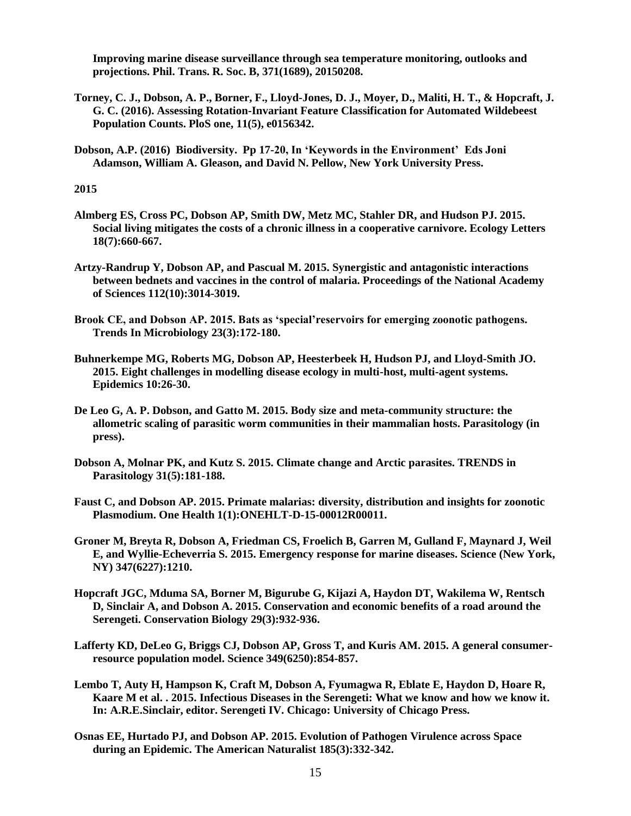**Improving marine disease surveillance through sea temperature monitoring, outlooks and projections. Phil. Trans. R. Soc. B, 371(1689), 20150208.**

- **Torney, C. J., Dobson, A. P., Borner, F., Lloyd-Jones, D. J., Moyer, D., Maliti, H. T., & Hopcraft, J. G. C. (2016). Assessing Rotation-Invariant Feature Classification for Automated Wildebeest Population Counts. PloS one, 11(5), e0156342.**
- **Dobson, A.P. (2016) Biodiversity. Pp 17-20, In 'Keywords in the Environment' Eds Joni Adamson, William A. Gleason, and David N. Pellow, New York University Press.**

#### **2015**

- **Almberg ES, Cross PC, Dobson AP, Smith DW, Metz MC, Stahler DR, and Hudson PJ. 2015. Social living mitigates the costs of a chronic illness in a cooperative carnivore. Ecology Letters 18(7):660-667.**
- **Artzy-Randrup Y, Dobson AP, and Pascual M. 2015. Synergistic and antagonistic interactions between bednets and vaccines in the control of malaria. Proceedings of the National Academy of Sciences 112(10):3014-3019.**
- **Brook CE, and Dobson AP. 2015. Bats as 'special'reservoirs for emerging zoonotic pathogens. Trends In Microbiology 23(3):172-180.**
- **Buhnerkempe MG, Roberts MG, Dobson AP, Heesterbeek H, Hudson PJ, and Lloyd-Smith JO. 2015. Eight challenges in modelling disease ecology in multi-host, multi-agent systems. Epidemics 10:26-30.**
- **De Leo G, A. P. Dobson, and Gatto M. 2015. Body size and meta-community structure: the allometric scaling of parasitic worm communities in their mammalian hosts. Parasitology (in press).**
- **Dobson A, Molnar PK, and Kutz S. 2015. Climate change and Arctic parasites. TRENDS in Parasitology 31(5):181-188.**
- **Faust C, and Dobson AP. 2015. Primate malarias: diversity, distribution and insights for zoonotic Plasmodium. One Health 1(1):ONEHLT-D-15-00012R00011.**
- **Groner M, Breyta R, Dobson A, Friedman CS, Froelich B, Garren M, Gulland F, Maynard J, Weil E, and Wyllie-Echeverria S. 2015. Emergency response for marine diseases. Science (New York, NY) 347(6227):1210.**
- **Hopcraft JGC, Mduma SA, Borner M, Bigurube G, Kijazi A, Haydon DT, Wakilema W, Rentsch D, Sinclair A, and Dobson A. 2015. Conservation and economic benefits of a road around the Serengeti. Conservation Biology 29(3):932-936.**
- **Lafferty KD, DeLeo G, Briggs CJ, Dobson AP, Gross T, and Kuris AM. 2015. A general consumerresource population model. Science 349(6250):854-857.**
- **Lembo T, Auty H, Hampson K, Craft M, Dobson A, Fyumagwa R, Eblate E, Haydon D, Hoare R, Kaare M et al. . 2015. Infectious Diseases in the Serengeti: What we know and how we know it. In: A.R.E.Sinclair, editor. Serengeti IV. Chicago: University of Chicago Press.**
- **Osnas EE, Hurtado PJ, and Dobson AP. 2015. Evolution of Pathogen Virulence across Space during an Epidemic. The American Naturalist 185(3):332-342.**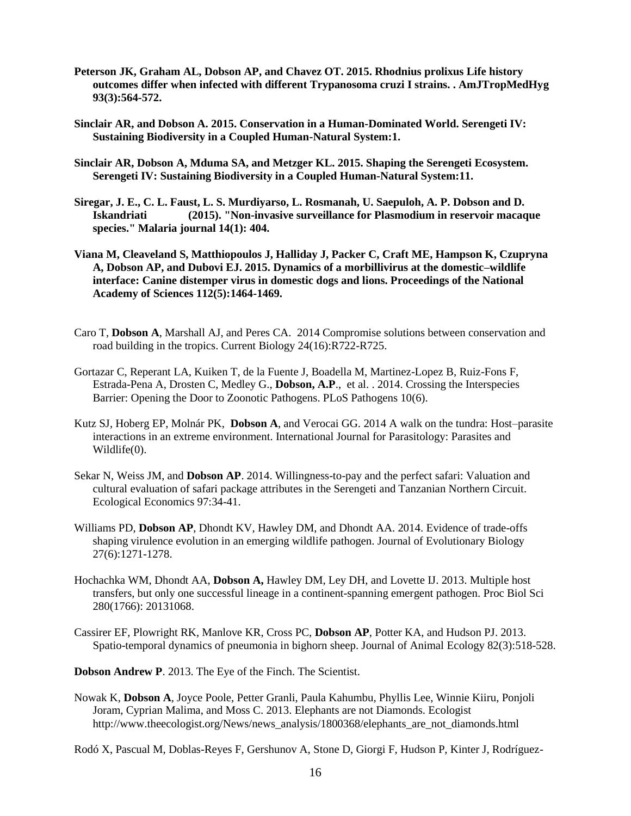- **Peterson JK, Graham AL, Dobson AP, and Chavez OT. 2015. Rhodnius prolixus Life history outcomes differ when infected with different Trypanosoma cruzi I strains. . AmJTropMedHyg 93(3):564-572.**
- **Sinclair AR, and Dobson A. 2015. Conservation in a Human-Dominated World. Serengeti IV: Sustaining Biodiversity in a Coupled Human-Natural System:1.**
- **Sinclair AR, Dobson A, Mduma SA, and Metzger KL. 2015. Shaping the Serengeti Ecosystem. Serengeti IV: Sustaining Biodiversity in a Coupled Human-Natural System:11.**
- **Siregar, J. E., C. L. Faust, L. S. Murdiyarso, L. Rosmanah, U. Saepuloh, A. P. Dobson and D. Iskandriati (2015). "Non-invasive surveillance for Plasmodium in reservoir macaque species." Malaria journal 14(1): 404.**
- **Viana M, Cleaveland S, Matthiopoulos J, Halliday J, Packer C, Craft ME, Hampson K, Czupryna A, Dobson AP, and Dubovi EJ. 2015. Dynamics of a morbillivirus at the domestic–wildlife interface: Canine distemper virus in domestic dogs and lions. Proceedings of the National Academy of Sciences 112(5):1464-1469.**
- Caro T, **Dobson A**, Marshall AJ, and Peres CA. 2014 Compromise solutions between conservation and road building in the tropics. Current Biology 24(16):R722-R725.
- Gortazar C, Reperant LA, Kuiken T, de la Fuente J, Boadella M, Martinez-Lopez B, Ruiz-Fons F, Estrada-Pena A, Drosten C, Medley G., **Dobson, A.P**., et al. . 2014. Crossing the Interspecies Barrier: Opening the Door to Zoonotic Pathogens. PLoS Pathogens 10(6).
- Kutz SJ, Hoberg EP, Molnár PK, **Dobson A**, and Verocai GG. 2014 A walk on the tundra: Host–parasite interactions in an extreme environment. International Journal for Parasitology: Parasites and Wildlife(0).
- Sekar N, Weiss JM, and **Dobson AP**. 2014. Willingness-to-pay and the perfect safari: Valuation and cultural evaluation of safari package attributes in the Serengeti and Tanzanian Northern Circuit. Ecological Economics 97:34-41.
- Williams PD, **Dobson AP**, Dhondt KV, Hawley DM, and Dhondt AA. 2014. Evidence of trade-offs shaping virulence evolution in an emerging wildlife pathogen. Journal of Evolutionary Biology 27(6):1271-1278.
- Hochachka WM, Dhondt AA, **Dobson A,** Hawley DM, Ley DH, and Lovette IJ. 2013. Multiple host transfers, but only one successful lineage in a continent-spanning emergent pathogen. Proc Biol Sci 280(1766): 20131068.
- Cassirer EF, Plowright RK, Manlove KR, Cross PC, **Dobson AP**, Potter KA, and Hudson PJ. 2013. Spatio-temporal dynamics of pneumonia in bighorn sheep. Journal of Animal Ecology 82(3):518-528.
- **Dobson Andrew P**. 2013. The Eye of the Finch. The Scientist.
- Nowak K, **Dobson A**, Joyce Poole, Petter Granli, Paula Kahumbu, Phyllis Lee, Winnie Kiiru, Ponjoli Joram, Cyprian Malima, and Moss C. 2013. Elephants are not Diamonds. Ecologist http://www.theecologist.org/News/news\_analysis/1800368/elephants\_are\_not\_diamonds.html

Rodó X, Pascual M, Doblas-Reyes F, Gershunov A, Stone D, Giorgi F, Hudson P, Kinter J, Rodríguez-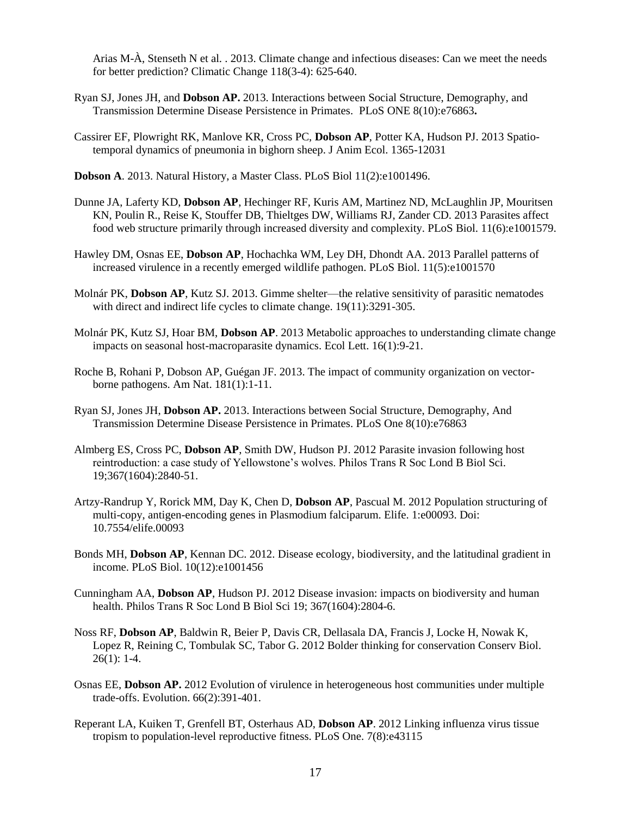Arias M-À, Stenseth N et al. . 2013. Climate change and infectious diseases: Can we meet the needs for better prediction? Climatic Change 118(3-4): 625-640.

- Ryan SJ, Jones JH, and **Dobson AP.** 2013. Interactions between Social Structure, Demography, and Transmission Determine Disease Persistence in Primates. PLoS ONE 8(10):e76863**.**
- Cassirer EF, Plowright RK, Manlove KR, Cross PC, **Dobson AP**, Potter KA, Hudson PJ. 2013 Spatiotemporal dynamics of pneumonia in bighorn sheep. J Anim Ecol. 1365-12031
- **Dobson A**. 2013. Natural History, a Master Class. PLoS Biol 11(2):e1001496.
- Dunne JA, Laferty KD, **Dobson AP**, Hechinger RF, Kuris AM, Martinez ND, McLaughlin JP, Mouritsen KN, Poulin R., Reise K, Stouffer DB, Thieltges DW, Williams RJ, Zander CD. 2013 Parasites affect food web structure primarily through increased diversity and complexity. PLoS Biol. 11(6):e1001579.
- Hawley DM, Osnas EE, **Dobson AP**, Hochachka WM, Ley DH, Dhondt AA. 2013 Parallel patterns of increased virulence in a recently emerged wildlife pathogen. PLoS Biol. 11(5):e1001570
- Molnár PK, **Dobson AP**, Kutz SJ. 2013. Gimme shelter—the relative sensitivity of parasitic nematodes with direct and indirect life cycles to climate change. 19(11):3291-305.
- Molnár PK, Kutz SJ, Hoar BM, **Dobson AP**. 2013 Metabolic approaches to understanding climate change impacts on seasonal host-macroparasite dynamics. Ecol Lett. 16(1):9-21.
- Roche B, Rohani P, Dobson AP, Guégan JF. 2013. The impact of community organization on vectorborne pathogens. Am Nat. 181(1):1-11.
- Ryan SJ, Jones JH, **Dobson AP.** 2013. Interactions between Social Structure, Demography, And Transmission Determine Disease Persistence in Primates. PLoS One 8(10):e76863
- Almberg ES, Cross PC, **Dobson AP**, Smith DW, Hudson PJ. 2012 Parasite invasion following host reintroduction: a case study of Yellowstone's wolves. Philos Trans R Soc Lond B Biol Sci. 19;367(1604):2840-51.
- Artzy-Randrup Y, Rorick MM, Day K, Chen D, **Dobson AP**, Pascual M. 2012 Population structuring of multi-copy, antigen-encoding genes in Plasmodium falciparum. Elife. 1:e00093. Doi: 10.7554/elife.00093
- Bonds MH, **Dobson AP**, Kennan DC. 2012. Disease ecology, biodiversity, and the latitudinal gradient in income. PLoS Biol. 10(12):e1001456
- Cunningham AA, **Dobson AP**, Hudson PJ. 2012 Disease invasion: impacts on biodiversity and human health. Philos Trans R Soc Lond B Biol Sci 19; 367(1604):2804-6.
- Noss RF, **Dobson AP**, Baldwin R, Beier P, Davis CR, Dellasala DA, Francis J, Locke H, Nowak K, Lopez R, Reining C, Tombulak SC, Tabor G. 2012 Bolder thinking for conservation Conserv Biol.  $26(1): 1-4.$
- Osnas EE, **Dobson AP.** 2012 Evolution of virulence in heterogeneous host communities under multiple trade-offs. Evolution. 66(2):391-401.
- Reperant LA, Kuiken T, Grenfell BT, Osterhaus AD, **Dobson AP**. 2012 Linking influenza virus tissue tropism to population-level reproductive fitness. PLoS One. 7(8):e43115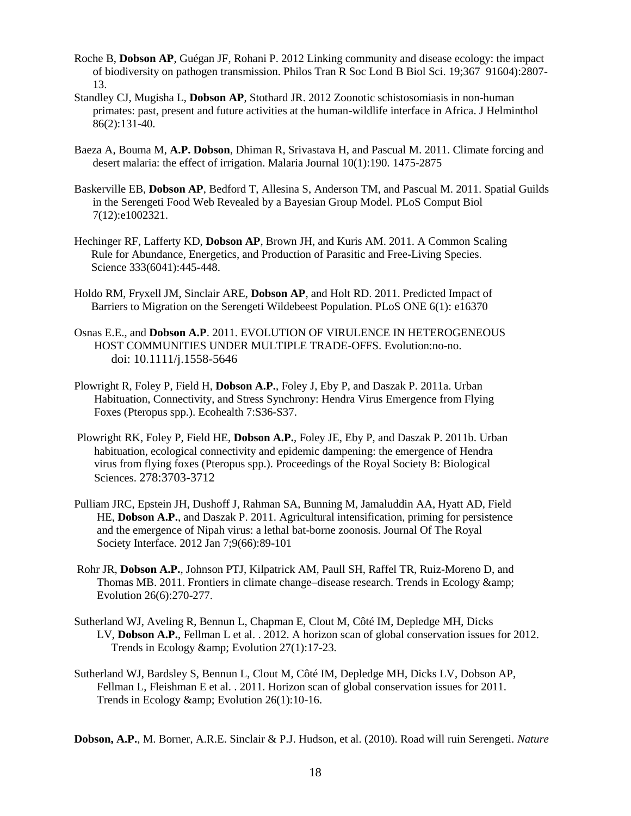- Roche B, **Dobson AP**, Guégan JF, Rohani P. 2012 Linking community and disease ecology: the impact of biodiversity on pathogen transmission. Philos Tran R Soc Lond B Biol Sci. 19;367 91604):2807- 13.
- Standley CJ, Mugisha L, **Dobson AP**, Stothard JR. 2012 Zoonotic schistosomiasis in non-human primates: past, present and future activities at the human-wildlife interface in Africa. J Helminthol 86(2):131-40.
- Baeza A, Bouma M, **A.P. Dobson**, Dhiman R, Srivastava H, and Pascual M. 2011. Climate forcing and desert malaria: the effect of irrigation. Malaria Journal 10(1):190. 1475-2875
- Baskerville EB, **Dobson AP**, Bedford T, Allesina S, Anderson TM, and Pascual M. 2011. Spatial Guilds in the Serengeti Food Web Revealed by a Bayesian Group Model. PLoS Comput Biol 7(12):e1002321.
- Hechinger RF, Lafferty KD, **Dobson AP**, Brown JH, and Kuris AM. 2011. A Common Scaling Rule for Abundance, Energetics, and Production of Parasitic and Free-Living Species. Science 333(6041):445-448.
- Holdo RM, Fryxell JM, Sinclair ARE, **Dobson AP**, and Holt RD. 2011. Predicted Impact of Barriers to Migration on the Serengeti Wildebeest Population. PLoS ONE 6(1): e16370
- Osnas E.E., and **Dobson A.P**. 2011. EVOLUTION OF VIRULENCE IN HETEROGENEOUS HOST COMMUNITIES UNDER MULTIPLE TRADE-OFFS. Evolution:no-no. doi: 10.1111/j.1558-5646
- Plowright R, Foley P, Field H, **Dobson A.P.**, Foley J, Eby P, and Daszak P. 2011a. Urban Habituation, Connectivity, and Stress Synchrony: Hendra Virus Emergence from Flying Foxes (Pteropus spp.). Ecohealth 7:S36-S37.
- Plowright RK, Foley P, Field HE, **Dobson A.P.**, Foley JE, Eby P, and Daszak P. 2011b. Urban habituation, ecological connectivity and epidemic dampening: the emergence of Hendra virus from flying foxes (Pteropus spp.). Proceedings of the Royal Society B: Biological Sciences. 278:3703-3712
- Pulliam JRC, Epstein JH, Dushoff J, Rahman SA, Bunning M, Jamaluddin AA, Hyatt AD, Field HE, **Dobson A.P.**, and Daszak P. 2011. Agricultural intensification, priming for persistence and the emergence of Nipah virus: a lethal bat-borne zoonosis. Journal Of The Royal Society Interface. 2012 Jan 7;9(66):89-101
- Rohr JR, **Dobson A.P.**, Johnson PTJ, Kilpatrick AM, Paull SH, Raffel TR, Ruiz-Moreno D, and Thomas MB. 2011. Frontiers in climate change–disease research. Trends in Ecology & Evolution 26(6):270-277.
- Sutherland WJ, Aveling R, Bennun L, Chapman E, Clout M, Côté IM, Depledge MH, Dicks LV, **Dobson A.P.**, Fellman L et al. . 2012. A horizon scan of global conservation issues for 2012. Trends in Ecology & amp; Evolution 27(1):17-23.
- Sutherland WJ, Bardsley S, Bennun L, Clout M, Côté IM, Depledge MH, Dicks LV, Dobson AP, Fellman L, Fleishman E et al. . 2011. Horizon scan of global conservation issues for 2011. Trends in Ecology & amp; Evolution 26(1):10-16.

**Dobson, A.P.**, M. Borner, A.R.E. Sinclair & P.J. Hudson, et al. (2010). Road will ruin Serengeti. *Nature*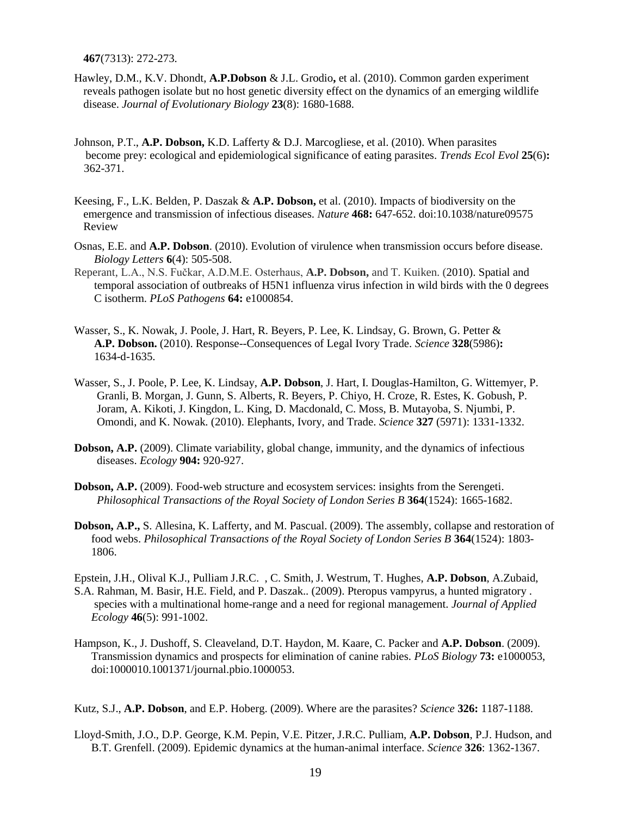**467**(7313): 272-273.

- Hawley, D.M., K.V. Dhondt, **A.P.Dobson** & J.L. Grodio**,** et al. (2010). Common garden experiment reveals pathogen isolate but no host genetic diversity effect on the dynamics of an emerging wildlife disease. *Journal of Evolutionary Biology* **23**(8): 1680-1688.
- Johnson, P.T., **A.P. Dobson,** K.D. Lafferty & D.J. Marcogliese, et al. (2010). When parasites become prey: ecological and epidemiological significance of eating parasites. *Trends Ecol Evol* **25**(6)**:**  362-371.
- Keesing, F., L.K. Belden, P. Daszak & **A.P. Dobson,** et al. (2010). [Impacts of biodiversity on the](http://www.nature.com/nature/journal/v468/n7324/full/nature09575.html)  [emergence and transmission of infectious diseases.](http://www.nature.com/nature/journal/v468/n7324/full/nature09575.html) *Nature* **468:** 647-652. doi:10.1038/nature09575 Review
- Osnas, E.E. and **A.P. Dobson**. (2010). Evolution of virulence when transmission occurs before disease. *Biology Letters* **6**(4): 505-508.
- Reperant, L.A., N.S. Fučkar, A.D.M.E. Osterhaus, **A.P. Dobson,** and T. Kuiken. (2010). Spatial and temporal association of outbreaks of H5N1 influenza virus infection in wild birds with the 0 degrees C isotherm. *PLoS Pathogens* **64:** e1000854.
- Wasser, S., K. Nowak, J. Poole, J. Hart, R. Beyers, P. Lee, K. Lindsay, G. Brown, G. Petter & **A.P. Dobson.** (2010). Response--Consequences of Legal Ivory Trade. *Science* **328**(5986)**:** 1634-d-1635.
- Wasser, S., J. Poole, P. Lee, K. Lindsay, **A.P. Dobson**, J. Hart, I. Douglas-Hamilton, G. Wittemyer, P. Granli, B. Morgan, J. Gunn, S. Alberts, R. Beyers, P. Chiyo, H. Croze, R. Estes, K. Gobush, P. Joram, A. Kikoti, J. Kingdon, L. King, D. Macdonald, C. Moss, B. Mutayoba, S. Njumbi, P. Omondi, and K. Nowak. (2010). Elephants, Ivory, and Trade. *Science* **327** (5971): 1331-1332.
- **Dobson, A.P.** (2009). Climate variability, global change, immunity, and the dynamics of infectious diseases. *Ecology* **904:** 920-927.
- **Dobson, A.P.** (2009). Food-web structure and ecosystem services: insights from the Serengeti. *Philosophical Transactions of the Royal Society of London Series B* **364**(1524): 1665-1682.
- **Dobson, A.P.,** S. Allesina, K. Lafferty, and M. Pascual. (2009). The assembly, collapse and restoration of food webs. *Philosophical Transactions of the Royal Society of London Series B* **364**(1524): 1803- 1806.

Epstein, J.H., Olival K.J., Pulliam J.R.C. , C. Smith, J. Westrum, T. Hughes, **A.P. Dobson**, A.Zubaid,

- S.A. Rahman, M. Basir, H.E. Field, and P. Daszak.. (2009). Pteropus vampyrus, a hunted migratory . species with a multinational home-range and a need for regional management. *Journal of Applied Ecology* **46**(5): 991-1002.
- Hampson, K., J. Dushoff, S. Cleaveland, D.T. Haydon, M. Kaare, C. Packer and **A.P. Dobson**. (2009). Transmission dynamics and prospects for elimination of canine rabies. *PLoS Biology* **73:** e1000053, doi:1000010.1001371/journal.pbio.1000053.

Kutz, S.J., **A.P. Dobson**, and E.P. Hoberg. (2009). Where are the parasites? *Science* **326:** 1187-1188.

Lloyd-Smith, J.O., D.P. George, K.M. Pepin, V.E. Pitzer, J.R.C. Pulliam, **A.P. Dobson**, P.J. Hudson, and B.T. Grenfell. (2009). Epidemic dynamics at the human-animal interface. *Science* **326**: 1362-1367.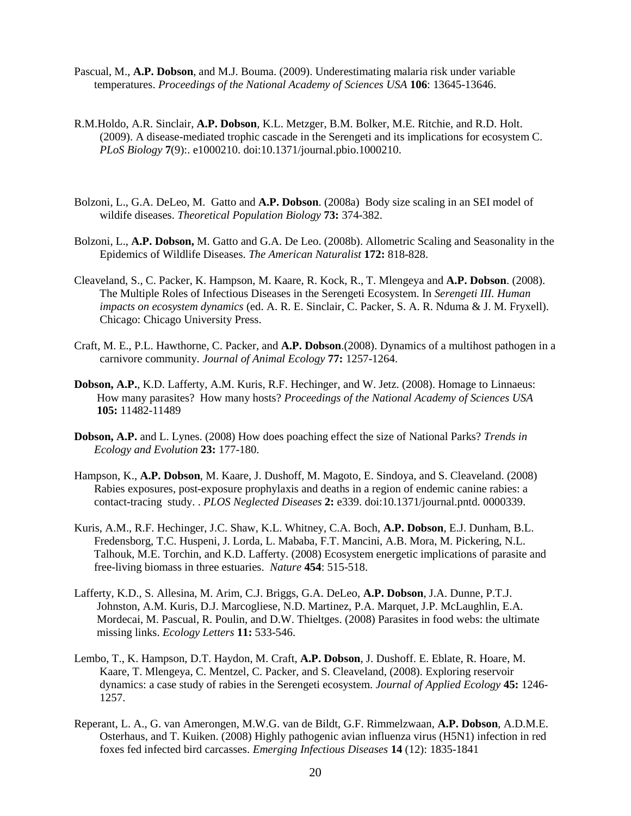- Pascual, M., **A.P. Dobson**, and M.J. Bouma. (2009). Underestimating malaria risk under variable temperatures. *Proceedings of the National Academy of Sciences USA* **106**: 13645-13646.
- R.M[.Holdo,](http://www.ncbi.nlm.nih.gov/pubmed?term=%22Holdo%20RM%22%5BAuthor%5D) A.R. Sinclair, **[A.P. Dobson](http://www.ncbi.nlm.nih.gov/pubmed?term=%22Sinclair%20AR%22%5BAuthor%5D)**, [K.L.](http://www.ncbi.nlm.nih.gov/pubmed?term=%22Dobson%20AP%22%5BAuthor%5D) [Metzger, B.M. Bolker, M.E.](http://www.ncbi.nlm.nih.gov/pubmed?term=%22Metzger%20KL%22%5BAuthor%5D) [Ritchie, and R.D. Holt.](http://www.ncbi.nlm.nih.gov/pubmed?term=%22Ritchie%20ME%22%5BAuthor%5D)  (2009). A disease-mediated trophic cascade in the Serengeti and its implications for ecosystem C. *PLoS Biology* **7**(9):. e1000210. doi:10.1371/journal.pbio.1000210.
- Bolzoni, L., G.A. DeLeo, M. Gatto and **A.P. Dobson**. (2008a) Body size scaling in an SEI model of wildife diseases. *Theoretical Population Biology* **73:** 374-382.
- Bolzoni, L., **A.P. Dobson,** M. Gatto and G.A. De Leo. (2008b). Allometric Scaling and Seasonality in the Epidemics of Wildlife Diseases. *The American Naturalist* **172:** 818-828.
- Cleaveland, S., C. Packer, K. Hampson, M. Kaare, R. Kock, R., T. Mlengeya and **A.P. Dobson**. (2008). The Multiple Roles of Infectious Diseases in the Serengeti Ecosystem. In *Serengeti III. Human impacts on ecosystem dynamics* (ed. A. R. E. Sinclair, C. Packer, S. A. R. Nduma & J. M. Fryxell). Chicago: Chicago University Press.
- Craft, M. E., P.L. Hawthorne, C. Packer, and **A.P. Dobson**.(2008). Dynamics of a multihost pathogen in a carnivore community. *Journal of Animal Ecology* **77:** 1257-1264.
- **Dobson, A.P.**, K.D. Lafferty, A.M. Kuris, R.F. Hechinger, and W. Jetz. (2008). Homage to Linnaeus: How many parasites? How many hosts? *Proceedings of the National Academy of Sciences USA* **105:** 11482-11489
- **Dobson, A.P.** and L. Lynes. (2008) How does poaching effect the size of National Parks? *Trends in Ecology and Evolution* **23:** 177-180.
- Hampson, K., **A.P. Dobson**, M. Kaare, J. Dushoff, M. Magoto, E. Sindoya, and S. Cleaveland. (2008) Rabies exposures, post-exposure prophylaxis and deaths in a region of endemic canine rabies: a contact-tracing study. . *PLOS Neglected Diseases* **2:** e339. doi:10.1371/journal.pntd. 0000339.
- Kuris, A.M., R.F. Hechinger, J.C. Shaw, K.L. Whitney, C.A. Boch, **A.P. Dobson**, E.J. Dunham, B.L. Fredensborg, T.C. Huspeni, J. Lorda, L. Mababa, F.T. Mancini, A.B. Mora, M. Pickering, N.L. Talhouk, M.E. Torchin, and K.D. Lafferty. (2008) Ecosystem energetic implications of parasite and free-living biomass in three estuaries. *Nature* **454**: 515-518.
- Lafferty, K.D., S. Allesina, M. Arim, C.J. Briggs, G.A. DeLeo, **A.P. Dobson**, J.A. Dunne, P.T.J. Johnston, A.M. Kuris, D.J. Marcogliese, N.D. Martinez, P.A. Marquet, J.P. McLaughlin, E.A. Mordecai, M. Pascual, R. Poulin, and D.W. Thieltges. (2008) Parasites in food webs: the ultimate missing links. *Ecology Letters* **11:** 533-546.
- Lembo, T., K. Hampson, D.T. Haydon, M. Craft, **A.P. Dobson**, J. Dushoff. E. Eblate, R. Hoare, M. Kaare, T. Mlengeya, C. Mentzel, C. Packer, and S. Cleaveland, (2008). Exploring reservoir dynamics: a case study of rabies in the Serengeti ecosystem. *Journal of Applied Ecology* **45:** 1246- 1257.
- Reperant, L. A., G. van Amerongen, M.W.G. van de Bildt, G.F. Rimmelzwaan, **A.P. Dobson**, A.D.M.E. Osterhaus, and T. Kuiken. (2008) Highly pathogenic avian influenza virus (H5N1) infection in red foxes fed infected bird carcasses. *Emerging Infectious Diseases* **14** (12): 1835-1841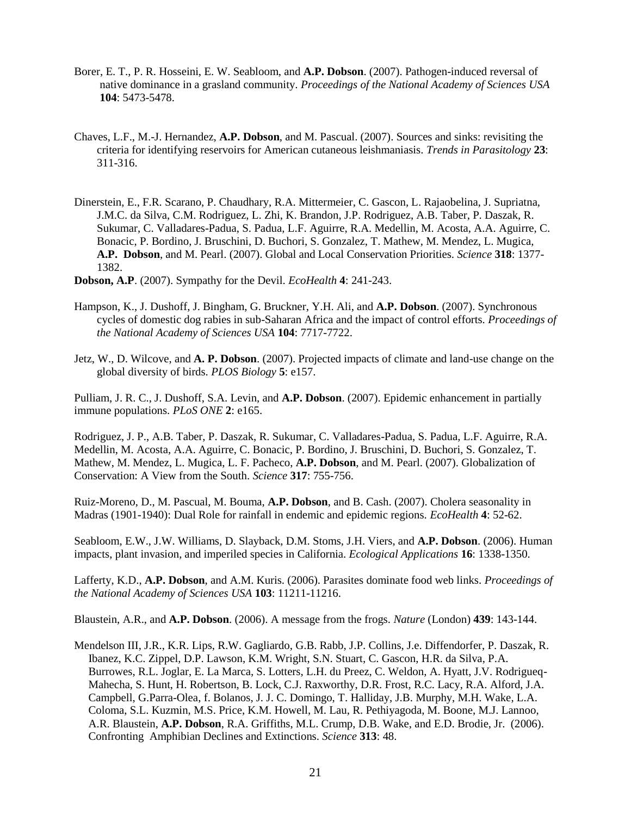- Borer, E. T., P. R. Hosseini, E. W. Seabloom, and **A.P. Dobson**. (2007). Pathogen-induced reversal of native dominance in a grasland community. *Proceedings of the National Academy of Sciences USA* **104**: 5473-5478.
- Chaves, L.F., M.-J. Hernandez, **A.P. Dobson**, and M. Pascual. (2007). Sources and sinks: revisiting the criteria for identifying reservoirs for American cutaneous leishmaniasis. *Trends in Parasitology* **23**: 311-316.
- Dinerstein, E., F.R. Scarano, P. Chaudhary, R.A. Mittermeier, C. Gascon, L. Rajaobelina, J. Supriatna, J.M.C. da Silva, C.M. Rodriguez, L. Zhi, K. Brandon, J.P. Rodriguez, A.B. Taber, P. Daszak, R. Sukumar, C. Valladares-Padua, S. Padua, L.F. Aguirre, R.A. Medellin, M. Acosta, A.A. Aguirre, C. Bonacic, P. Bordino, J. Bruschini, D. Buchori, S. Gonzalez, T. Mathew, M. Mendez, L. Mugica, **A.P. Dobson**, and M. Pearl. (2007). Global and Local Conservation Priorities. *Science* **318**: 1377- 1382.
- **Dobson, A.P**. (2007). Sympathy for the Devil. *EcoHealth* **4**: 241-243.
- Hampson, K., J. Dushoff, J. Bingham, G. Bruckner, Y.H. Ali, and **A.P. Dobson**. (2007). Synchronous cycles of domestic dog rabies in sub-Saharan Africa and the impact of control efforts. *Proceedings of the National Academy of Sciences USA* **104**: 7717-7722.
- Jetz, W., D. Wilcove, and **A. P. Dobson**. (2007). Projected impacts of climate and land-use change on the global diversity of birds. *PLOS Biology* **5**: e157.

Pulliam, J. R. C., J. Dushoff, S.A. Levin, and **A.P. Dobson**. (2007). Epidemic enhancement in partially immune populations. *PLoS ONE* **2**: e165.

Rodriguez, J. P., A.B. Taber, P. Daszak, R. Sukumar, C. Valladares-Padua, S. Padua, L.F. Aguirre, R.A. Medellin, M. Acosta, A.A. Aguirre, C. Bonacic, P. Bordino, J. Bruschini, D. Buchori, S. Gonzalez, T. Mathew, M. Mendez, L. Mugica, L. F. Pacheco, **A.P. Dobson**, and M. Pearl. (2007). Globalization of Conservation: A View from the South. *Science* **317**: 755-756.

Ruiz-Moreno, D., M. Pascual, M. Bouma, **A.P. Dobson**, and B. Cash. (2007). Cholera seasonality in Madras (1901-1940): Dual Role for rainfall in endemic and epidemic regions. *EcoHealth* **4**: 52-62.

Seabloom, E.W., J.W. Williams, D. Slayback, D.M. Stoms, J.H. Viers, and **A.P. Dobson**. (2006). Human impacts, plant invasion, and imperiled species in California. *Ecological Applications* **16**: 1338-1350.

Lafferty, K.D., **A.P. Dobson**, and A.M. Kuris. (2006). Parasites dominate food web links. *Proceedings of the National Academy of Sciences USA* **103**: 11211-11216.

Blaustein, A.R., and **A.P. Dobson**. (2006). A message from the frogs. *Nature* (London) **439**: 143-144.

Mendelson III, J.R., K.R. Lips, R.W. Gagliardo, G.B. Rabb, J.P. Collins, J.e. Diffendorfer, P. Daszak, R. Ibanez, K.C. Zippel, D.P. Lawson, K.M. Wright, S.N. Stuart, C. Gascon, H.R. da Silva, P.A. Burrowes, R.L. Joglar, E. La Marca, S. Lotters, L.H. du Preez, C. Weldon, A. Hyatt, J.V. Rodrigueq- Mahecha, S. Hunt, H. Robertson, B. Lock, C.J. Raxworthy, D.R. Frost, R.C. Lacy, R.A. Alford, J.A. Campbell, G.Parra-Olea, f. Bolanos, J. J. C. Domingo, T. Halliday, J.B. Murphy, M.H. Wake, L.A. Coloma, S.L. Kuzmin, M.S. Price, K.M. Howell, M. Lau, R. Pethiyagoda, M. Boone, M.J. Lannoo, A.R. Blaustein, **A.P. Dobson**, R.A. Griffiths, M.L. Crump, D.B. Wake, and E.D. Brodie, Jr. (2006). Confronting Amphibian Declines and Extinctions. *Science* **313**: 48.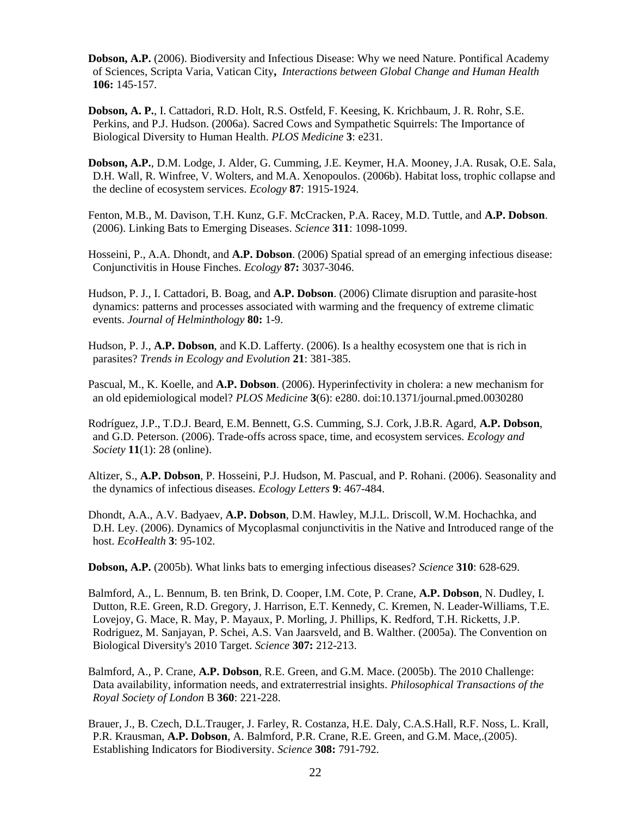**Dobson, A.P.** (2006). Biodiversity and Infectious Disease: Why we need Nature. Pontifical Academy of Sciences, Scripta Varia, Vatican City**,** *Interactions between Global Change and Human Health* **106:** 145-157.

**Dobson, A. P.**, I. Cattadori, R.D. Holt, R.S. Ostfeld, F. Keesing, K. Krichbaum, J. R. Rohr, S.E. Perkins, and P.J. Hudson. (2006a). Sacred Cows and Sympathetic Squirrels: The Importance of Biological Diversity to Human Health. *PLOS Medicine* **3**: e231.

**Dobson, A.P.**, D.M. Lodge, J. Alder, G. Cumming, J.E. Keymer, H.A. Mooney, J.A. Rusak, O.E. Sala, D.H. Wall, R. Winfree, V. Wolters, and M.A. Xenopoulos. (2006b). Habitat loss, trophic collapse and the decline of ecosystem services. *Ecology* **87**: 1915-1924.

Fenton, M.B., M. Davison, T.H. Kunz, G.F. McCracken, P.A. Racey, M.D. Tuttle, and **A.P. Dobson**. (2006). Linking Bats to Emerging Diseases. *Science* **311**: 1098-1099.

Hosseini, P., A.A. Dhondt, and **A.P. Dobson**. (2006) Spatial spread of an emerging infectious disease: Conjunctivitis in House Finches. *Ecology* **87:** 3037-3046.

Hudson, P. J., I. Cattadori, B. Boag, and **A.P. Dobson**. (2006) Climate disruption and parasite-host dynamics: patterns and processes associated with warming and the frequency of extreme climatic events. *Journal of Helminthology* **80:** 1-9.

Hudson, P. J., **A.P. Dobson**, and K.D. Lafferty. (2006). Is a healthy ecosystem one that is rich in parasites? *Trends in Ecology and Evolution* **21**: 381-385.

Pascual, M., K. Koelle, and **A.P. Dobson**. (2006). Hyperinfectivity in cholera: a new mechanism for an old epidemiological model? *PLOS Medicine* **3**(6): e280. doi:10.1371/journal.pmed.0030280

Rodríguez, J.P., T.D.J. Beard, E.M. Bennett, G.S. Cumming, S.J. Cork, J.B.R. Agard, **A.P. Dobson**, and G.D. Peterson. (2006). Trade-offs across space, time, and ecosystem services. *Ecology and Society* **11**(1): 28 (online).

Altizer, S., **A.P. Dobson**, P. Hosseini, P.J. Hudson, M. Pascual, and P. Rohani. (2006). Seasonality and the dynamics of infectious diseases. *Ecology Letters* **9**: 467-484.

Dhondt, A.A., A.V. Badyaev, **A.P. Dobson**, D.M. Hawley, M.J.L. Driscoll, W.M. Hochachka, and D.H. Ley. (2006). Dynamics of Mycoplasmal conjunctivitis in the Native and Introduced range of the host. *EcoHealth* **3**: 95-102.

**Dobson, A.P.** (2005b). What links bats to emerging infectious diseases? *Science* **310**: 628-629.

Balmford, A., L. Bennum, B. ten Brink, D. Cooper, I.M. Cote, P. Crane, **A.P. Dobson**, N. Dudley, I. Dutton, R.E. Green, R.D. Gregory, J. Harrison, E.T. Kennedy, C. Kremen, N. Leader-Williams, T.E. Lovejoy, G. Mace, R. May, P. Mayaux, P. Morling, J. Phillips, K. Redford, T.H. Ricketts, J.P. Rodriguez, M. Sanjayan, P. Schei, A.S. Van Jaarsveld, and B. Walther. (2005a). The Convention on Biological Diversity's 2010 Target. *Science* **307:** 212-213.

Balmford, A., P. Crane, **A.P. Dobson**, R.E. Green, and G.M. Mace. (2005b). The 2010 Challenge: Data availability, information needs, and extraterrestrial insights. *Philosophical Transactions of the Royal Society of London* B **360**: 221-228.

Brauer, J., B. Czech, D.L.Trauger, J. Farley, R. Costanza, H.E. Daly, C.A.S.Hall, R.F. Noss, L. Krall, P.R. Krausman, **A.P. Dobson**, A. Balmford, P.R. Crane, R.E. Green, and G.M. Mace,.(2005). Establishing Indicators for Biodiversity. *Science* **308:** 791-792.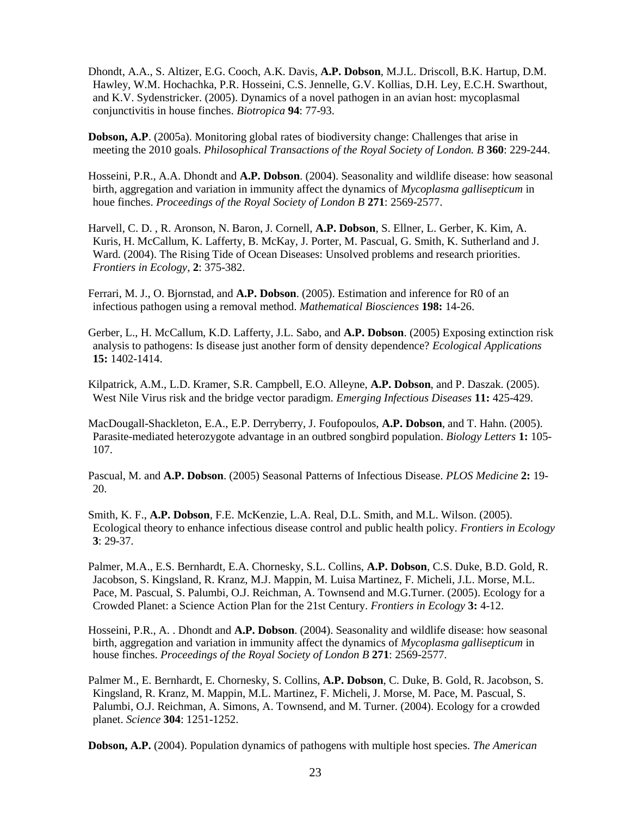Dhondt, A.A., S. Altizer, E.G. Cooch, A.K. Davis, **A.P. Dobson**, M.J.L. Driscoll, B.K. Hartup, D.M. Hawley, W.M. Hochachka, P.R. Hosseini, C.S. Jennelle, G.V. Kollias, D.H. Ley, E.C.H. Swarthout, and K.V. Sydenstricker. (2005). Dynamics of a novel pathogen in an avian host: mycoplasmal conjunctivitis in house finches. *Biotropica* **94**: 77-93.

**Dobson, A.P**. (2005a). Monitoring global rates of biodiversity change: Challenges that arise in meeting the 2010 goals. *Philosophical Transactions of the Royal Society of London. B* **360**: 229-244.

- Hosseini, P.R., A.A. Dhondt and **A.P. Dobson**. (2004). Seasonality and wildlife disease: how seasonal birth, aggregation and variation in immunity affect the dynamics of *Mycoplasma gallisepticum* in houe finches. *Proceedings of the Royal Society of London B* **271**: 2569-2577.
- Harvell, C. D. , R. Aronson, N. Baron, J. Cornell, **A.P. Dobson**, S. Ellner, L. Gerber, K. Kim, A. Kuris, H. McCallum, K. Lafferty, B. McKay, J. Porter, M. Pascual, G. Smith, K. Sutherland and J. Ward. (2004). The Rising Tide of Ocean Diseases: Unsolved problems and research priorities. *Frontiers in Ecology*, **2**: 375-382.
- Ferrari, M. J., O. Bjornstad, and **A.P. Dobson**. (2005). Estimation and inference for R0 of an infectious pathogen using a removal method. *Mathematical Biosciences* **198:** 14-26.
- Gerber, L., H. McCallum, K.D. Lafferty, J.L. Sabo, and **A.P. Dobson**. (2005) Exposing extinction risk analysis to pathogens: Is disease just another form of density dependence? *Ecological Applications* **15:** 1402-1414.
- Kilpatrick, A.M., L.D. Kramer, S.R. Campbell, E.O. Alleyne, **A.P. Dobson**, and P. Daszak. (2005). West Nile Virus risk and the bridge vector paradigm. *Emerging Infectious Diseases* **11:** 425-429.
- MacDougall-Shackleton, E.A., E.P. Derryberry, J. Foufopoulos, **A.P. Dobson**, and T. Hahn. (2005). Parasite-mediated heterozygote advantage in an outbred songbird population. *Biology Letters* **1:** 105- 107.
- Pascual, M. and **A.P. Dobson**. (2005) Seasonal Patterns of Infectious Disease. *PLOS Medicine* **2:** 19- 20.
- Smith, K. F., **A.P. Dobson**, F.E. McKenzie, L.A. Real, D.L. Smith, and M.L. Wilson. (2005). Ecological theory to enhance infectious disease control and public health policy. *Frontiers in Ecology* **3**: 29-37.
- Palmer, M.A., E.S. Bernhardt, E.A. Chornesky, S.L. Collins, **A.P. Dobson**, C.S. Duke, B.D. Gold, R. Jacobson, S. Kingsland, R. Kranz, M.J. Mappin, M. Luisa Martinez, F. Micheli, J.L. Morse, M.L. Pace, M. Pascual, S. Palumbi, O.J. Reichman, A. Townsend and M.G.Turner. (2005). Ecology for a Crowded Planet: a Science Action Plan for the 21st Century. *Frontiers in Ecology* **3:** 4-12.
- Hosseini, P.R., A. . Dhondt and **A.P. Dobson**. (2004). Seasonality and wildlife disease: how seasonal birth, aggregation and variation in immunity affect the dynamics of *Mycoplasma gallisepticum* in house finches. *Proceedings of the Royal Society of London B* **271**: 2569-2577.
- Palmer M., E. Bernhardt, E. Chornesky, S. Collins, **A.P. Dobson**, C. Duke, B. Gold, R. Jacobson, S. Kingsland, R. Kranz, M. Mappin, M.L. Martinez, F. Micheli, J. Morse, M. Pace, M. Pascual, S. Palumbi, O.J. Reichman, A. Simons, A. Townsend, and M. Turner. (2004). Ecology for a crowded planet. *Science* **304**: 1251-1252.

**Dobson, A.P.** (2004). Population dynamics of pathogens with multiple host species. *The American*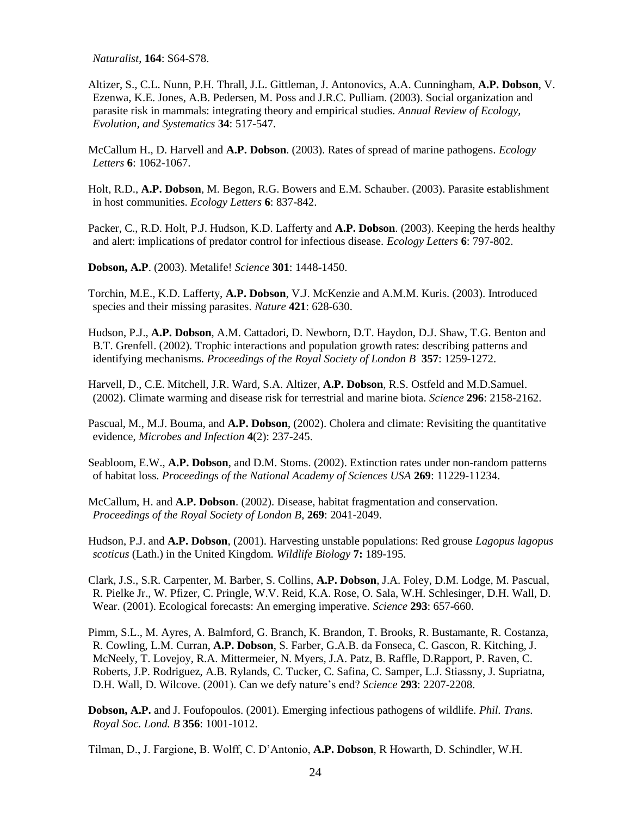*Naturalist*, **164**: S64-S78.

Altizer, S., C.L. Nunn, P.H. Thrall, J.L. Gittleman, J. Antonovics, A.A. Cunningham, **A.P. Dobson**, V. Ezenwa, K.E. Jones, A.B. Pedersen, M. Poss and J.R.C. Pulliam. (2003). Social organization and parasite risk in mammals: integrating theory and empirical studies. *Annual Review of Ecology, Evolution, and Systematics* **34**: 517-547.

McCallum H., D. Harvell and **A.P. Dobson**. (2003). Rates of spread of marine pathogens. *Ecology Letters* **6**: 1062-1067.

Holt, R.D., **A.P. Dobson**, M. Begon, R.G. Bowers and E.M. Schauber. (2003). Parasite establishment in host communities. *Ecology Letters* **6**: 837-842.

Packer, C., R.D. Holt, P.J. Hudson, K.D. Lafferty and **A.P. Dobson**. (2003). Keeping the herds healthy and alert: implications of predator control for infectious disease. *Ecology Letters* **6**: 797-802.

**Dobson, A.P**. (2003). Metalife! *Science* **301**: 1448-1450.

Torchin, M.E., K.D. Lafferty, **A.P. Dobson**, V.J. McKenzie and A.M.M. Kuris. (2003). Introduced species and their missing parasites. *Nature* **421**: 628-630.

Hudson, P.J., **A.P. Dobson**, A.M. Cattadori, D. Newborn, D.T. Haydon, D.J. Shaw, T.G. Benton and B.T. Grenfell. (2002). Trophic interactions and population growth rates: describing patterns and identifying mechanisms. *Proceedings of the Royal Society of London B* **357**: 1259-1272.

Harvell, D., C.E. Mitchell, J.R. Ward, S.A. Altizer, **A.P. Dobson**, R.S. Ostfeld and M.D.Samuel. (2002). Climate warming and disease risk for terrestrial and marine biota. *Science* **296**: 2158-2162.

Pascual, M., M.J. Bouma, and **A.P. Dobson**, (2002). Cholera and climate: Revisiting the quantitative evidence, *Microbes and Infection* **4**(2): 237-245.

Seabloom, E.W., **A.P. Dobson**, and D.M. Stoms. (2002). Extinction rates under non-random patterns of habitat loss. *Proceedings of the National Academy of Sciences USA* **269**: 11229-11234.

McCallum, H. and **A.P. Dobson**. (2002). Disease, habitat fragmentation and conservation. *Proceedings of the Royal Society of London B,* **269**: 2041-2049.

Hudson, P.J. and **A.P. Dobson**, (2001). Harvesting unstable populations: Red grouse *Lagopus lagopus scoticus* (Lath.) in the United Kingdom. *Wildlife Biology* **7:** 189-195.

Clark, J.S., S.R. Carpenter, M. Barber, S. Collins, **A.P. Dobson**, J.A. Foley, D.M. Lodge, M. Pascual, R. Pielke Jr., W. Pfizer, C. Pringle, W.V. Reid, K.A. Rose, O. Sala, W.H. Schlesinger, D.H. Wall, D. Wear. (2001). Ecological forecasts: An emerging imperative. *Science* **293**: 657-660.

Pimm, S.L., M. Ayres, A. Balmford, G. Branch, K. Brandon, T. Brooks, R. Bustamante, R. Costanza, R. Cowling, L.M. Curran, **A.P. Dobson**, S. Farber, G.A.B. da Fonseca, C. Gascon, R. Kitching, J. McNeely, T. Lovejoy, R.A. Mittermeier, N. Myers, J.A. Patz, B. Raffle, D.Rapport, P. Raven, C. Roberts, J.P. Rodriguez, A.B. Rylands, C. Tucker, C. Safina, C. Samper, L.J. Stiassny, J. Supriatna, D.H. Wall, D. Wilcove. (2001). Can we defy nature's end? *Science* **293**: 2207-2208.

**Dobson, A.P.** and J. Foufopoulos. (2001). Emerging infectious pathogens of wildlife. *Phil. Trans. Royal Soc. Lond. B* **356**: 1001-1012.

Tilman, D., J. Fargione, B. Wolff, C. D'Antonio, **A.P. Dobson**, R Howarth, D. Schindler, W.H.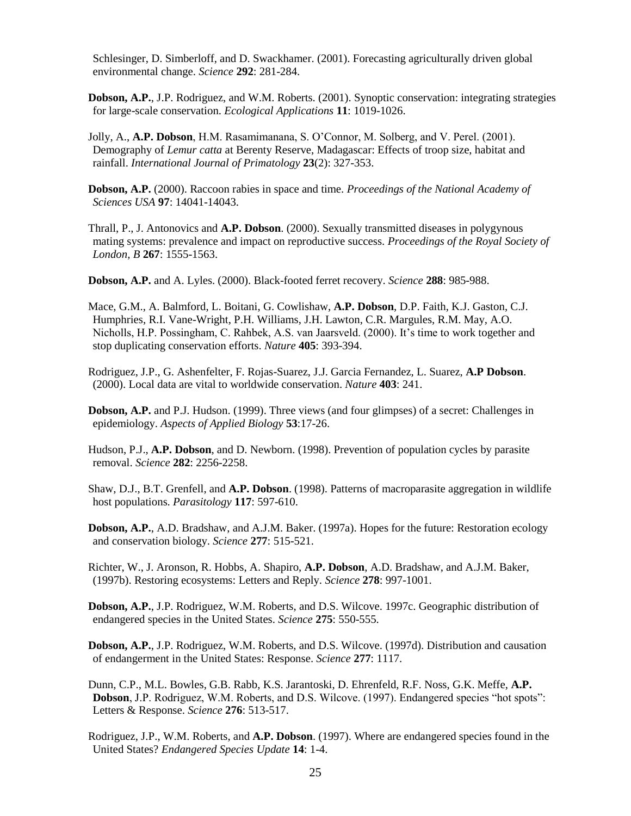Schlesinger, D. Simberloff, and D. Swackhamer. (2001). Forecasting agriculturally driven global environmental change. *Science* **292**: 281-284.

- **Dobson, A.P.**, J.P. Rodriguez, and W.M. Roberts. (2001). Synoptic conservation: integrating strategies for large-scale conservation. *Ecological Applications* **11**: 1019-1026.
- Jolly, A., **A.P. Dobson**, H.M. Rasamimanana, S. O'Connor, M. Solberg, and V. Perel. (2001). Demography of *Lemur catta* at Berenty Reserve, Madagascar: Effects of troop size, habitat and rainfall. *International Journal of Primatology* **23**(2): 327-353.

**Dobson, A.P.** (2000). Raccoon rabies in space and time. *Proceedings of the National Academy of Sciences USA* **97**: 14041-14043.

Thrall, P., J. Antonovics and **A.P. Dobson**. (2000). Sexually transmitted diseases in polygynous mating systems: prevalence and impact on reproductive success. *Proceedings of the Royal Society of London, B* **267**: 1555-1563.

**Dobson, A.P.** and A. Lyles. (2000). Black-footed ferret recovery. *Science* **288**: 985-988.

Mace, G.M., A. Balmford, L. Boitani, G. Cowlishaw, **A.P. Dobson**, D.P. Faith, K.J. Gaston, C.J. Humphries, R.I. Vane-Wright, P.H. Williams, J.H. Lawton, C.R. Margules, R.M. May, A.O. Nicholls, H.P. Possingham, C. Rahbek, A.S. van Jaarsveld. (2000). It's time to work together and stop duplicating conservation efforts. *Nature* **405**: 393-394.

Rodriguez, J.P., G. Ashenfelter, F. Rojas-Suarez, J.J. Garcia Fernandez, L. Suarez, **A.P Dobson**. (2000). Local data are vital to worldwide conservation. *Nature* **403**: 241.

**Dobson, A.P.** and P.J. Hudson. (1999). Three views (and four glimpses) of a secret: Challenges in epidemiology. *Aspects of Applied Biology* **53**:17-26.

Hudson, P.J., **A.P. Dobson**, and D. Newborn. (1998). Prevention of population cycles by parasite removal. *Science* **282**: 2256-2258.

Shaw, D.J., B.T. Grenfell, and **A.P. Dobson**. (1998). Patterns of macroparasite aggregation in wildlife host populations. *Parasitology* **117**: 597-610.

**Dobson, A.P.**, A.D. Bradshaw, and A.J.M. Baker. (1997a). Hopes for the future: Restoration ecology and conservation biology. *Science* **277**: 515-521.

Richter, W., J. Aronson, R. Hobbs, A. Shapiro, **A.P. Dobson**, A.D. Bradshaw, and A.J.M. Baker, (1997b). Restoring ecosystems: Letters and Reply. *Science* **278**: 997-1001.

**Dobson, A.P.**, J.P. Rodriguez, W.M. Roberts, and D.S. Wilcove. 1997c. Geographic distribution of endangered species in the United States. *Science* **275**: 550-555.

**Dobson, A.P.**, J.P. Rodriguez, W.M. Roberts, and D.S. Wilcove. (1997d). Distribution and causation of endangerment in the United States: Response. *Science* **277**: 1117.

Dunn, C.P., M.L. Bowles, G.B. Rabb, K.S. Jarantoski, D. Ehrenfeld, R.F. Noss, G.K. Meffe, **A.P. Dobson**, J.P. Rodriguez, W.M. Roberts, and D.S. Wilcove. (1997). Endangered species "hot spots": Letters & Response. *Science* **276**: 513-517.

Rodriguez, J.P., W.M. Roberts, and **A.P. Dobson**. (1997). Where are endangered species found in the United States? *Endangered Species Update* **14**: 1-4.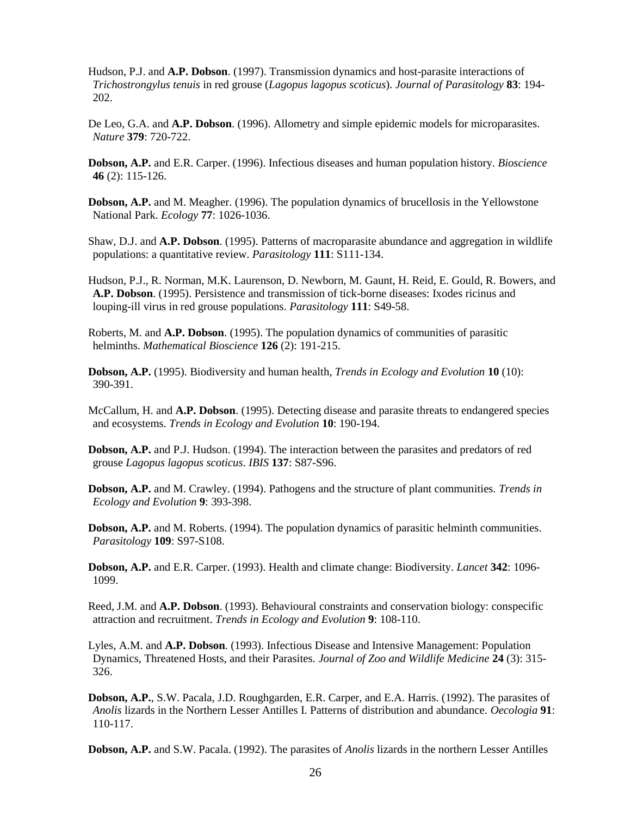- Hudson, P.J. and **A.P. Dobson**. (1997). Transmission dynamics and host-parasite interactions of *Trichostrongylus tenuis* in red grouse (*Lagopus lagopus scoticus*). *Journal of Parasitology* **83**: 194- 202.
- De Leo, G.A. and **A.P. Dobson**. (1996). Allometry and simple epidemic models for microparasites. *Nature* **379**: 720-722.
- **Dobson, A.P.** and E.R. Carper. (1996). Infectious diseases and human population history. *Bioscience* **46** (2): 115-126.
- **Dobson, A.P.** and M. Meagher. (1996). The population dynamics of brucellosis in the Yellowstone National Park. *Ecology* **77**: 1026-1036.

Shaw, D.J. and **A.P. Dobson**. (1995). Patterns of macroparasite abundance and aggregation in wildlife populations: a quantitative review. *Parasitology* **111**: S111-134.

Hudson, P.J., R. Norman, M.K. Laurenson, D. Newborn, M. Gaunt, H. Reid, E. Gould, R. Bowers, and **A.P. Dobson**. (1995). Persistence and transmission of tick-borne diseases: Ixodes ricinus and louping-ill virus in red grouse populations. *Parasitology* **111**: S49-58.

Roberts, M. and **A.P. Dobson**. (1995). The population dynamics of communities of parasitic helminths. *Mathematical Bioscience* **126** (2): 191-215.

- **Dobson, A.P.** (1995). Biodiversity and human health, *Trends in Ecology and Evolution* **10** (10): 390-391.
- McCallum, H. and **A.P. Dobson**. (1995). Detecting disease and parasite threats to endangered species and ecosystems. *Trends in Ecology and Evolution* **10**: 190-194.
- **Dobson, A.P.** and P.J. Hudson. (1994). The interaction between the parasites and predators of red grouse *Lagopus lagopus scoticus*. *IBIS* **137**: S87-S96.
- **Dobson, A.P.** and M. Crawley. (1994). Pathogens and the structure of plant communities. *Trends in Ecology and Evolution* **9**: 393-398.
- **Dobson, A.P.** and M. Roberts. (1994). The population dynamics of parasitic helminth communities. *Parasitology* **109**: S97-S108.

**Dobson, A.P.** and E.R. Carper. (1993). Health and climate change: Biodiversity. *Lancet* **342**: 1096- 1099.

Reed, J.M. and **A.P. Dobson**. (1993). Behavioural constraints and conservation biology: conspecific attraction and recruitment. *Trends in Ecology and Evolution* **9**: 108-110.

- Lyles, A.M. and **A.P. Dobson**. (1993). Infectious Disease and Intensive Management: Population Dynamics, Threatened Hosts, and their Parasites*. Journal of Zoo and Wildlife Medicine* **24** (3): 315- 326.
- **Dobson, A.P.**, S.W. Pacala, J.D. Roughgarden, E.R. Carper, and E.A. Harris. (1992). The parasites of *Anolis* lizards in the Northern Lesser Antilles I. Patterns of distribution and abundance. *Oecologia* **91**: 110-117.

**Dobson, A.P.** and S.W. Pacala. (1992). The parasites of *Anolis* lizards in the northern Lesser Antilles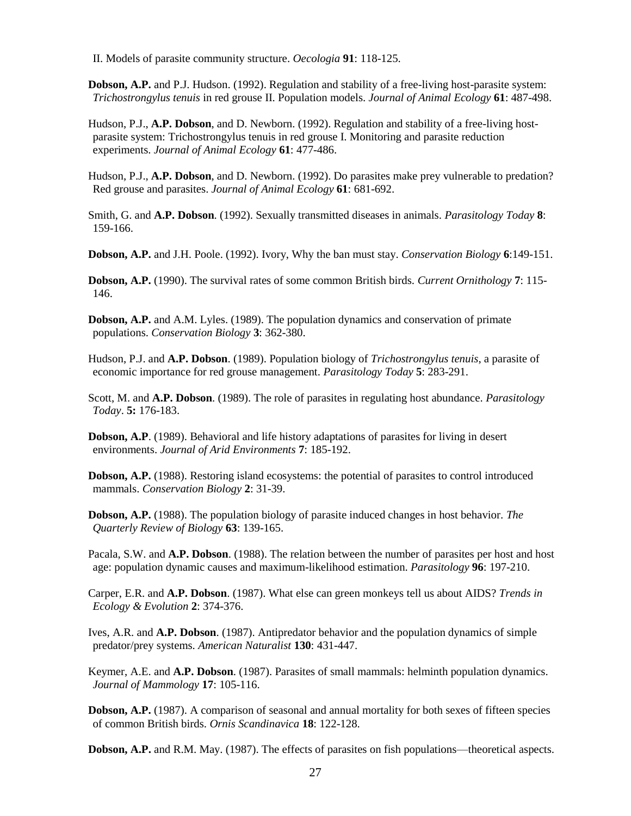II. Models of parasite community structure. *Oecologia* **91**: 118-125.

**Dobson, A.P.** and P.J. Hudson. (1992). Regulation and stability of a free-living host-parasite system: *Trichostrongylus tenuis* in red grouse II. Population models. *Journal of Animal Ecology* **61**: 487-498.

Hudson, P.J., **A.P. Dobson**, and D. Newborn. (1992). Regulation and stability of a free-living hostparasite system: Trichostrongylus tenuis in red grouse I. Monitoring and parasite reduction experiments. *Journal of Animal Ecology* **61**: 477-486.

Hudson, P.J., **A.P. Dobson**, and D. Newborn. (1992). Do parasites make prey vulnerable to predation? Red grouse and parasites. *Journal of Animal Ecology* **61**: 681-692.

Smith, G. and **A.P. Dobson**. (1992). Sexually transmitted diseases in animals. *Parasitology Today* **8**: 159-166.

**Dobson, A.P.** and J.H. Poole. (1992). Ivory, Why the ban must stay. *Conservation Biology* **6**:149-151.

**Dobson, A.P.** (1990). The survival rates of some common British birds*. Current Ornithology* **7**: 115- 146.

**Dobson, A.P.** and A.M. Lyles. (1989). The population dynamics and conservation of primate populations. *Conservation Biology* **3**: 362-380.

Hudson, P.J. and **A.P. Dobson**. (1989). Population biology of *Trichostrongylus tenuis*, a parasite of economic importance for red grouse management. *Parasitology Today* **5**: 283-291.

Scott, M. and **A.P. Dobson**. (1989). The role of parasites in regulating host abundance. *Parasitology Today*. **5:** 176-183.

**Dobson, A.P**. (1989). Behavioral and life history adaptations of parasites for living in desert environments. *Journal of Arid Environments* **7**: 185-192.

**Dobson, A.P.** (1988). Restoring island ecosystems: the potential of parasites to control introduced mammals. *Conservation Biology* **2**: 31-39.

**Dobson, A.P.** (1988). The population biology of parasite induced changes in host behavior. *The Quarterly Review of Biology* **63**: 139-165.

Pacala, S.W. and **A.P. Dobson**. (1988). The relation between the number of parasites per host and host age: population dynamic causes and maximum-likelihood estimation. *Parasitology* **96**: 197-210.

Carper, E.R. and **A.P. Dobson**. (1987). What else can green monkeys tell us about AIDS? *Trends in Ecology & Evolution* **2**: 374-376.

Ives, A.R. and **A.P. Dobson**. (1987). Antipredator behavior and the population dynamics of simple predator/prey systems. *American Naturalist* **130**: 431-447.

Keymer, A.E. and **A.P. Dobson**. (1987). Parasites of small mammals: helminth population dynamics. *Journal of Mammology* **17**: 105-116.

**Dobson, A.P.** (1987). A comparison of seasonal and annual mortality for both sexes of fifteen species of common British birds. *Ornis Scandinavica* **18**: 122-128.

**Dobson, A.P.** and R.M. May. (1987). The effects of parasites on fish populations—theoretical aspects.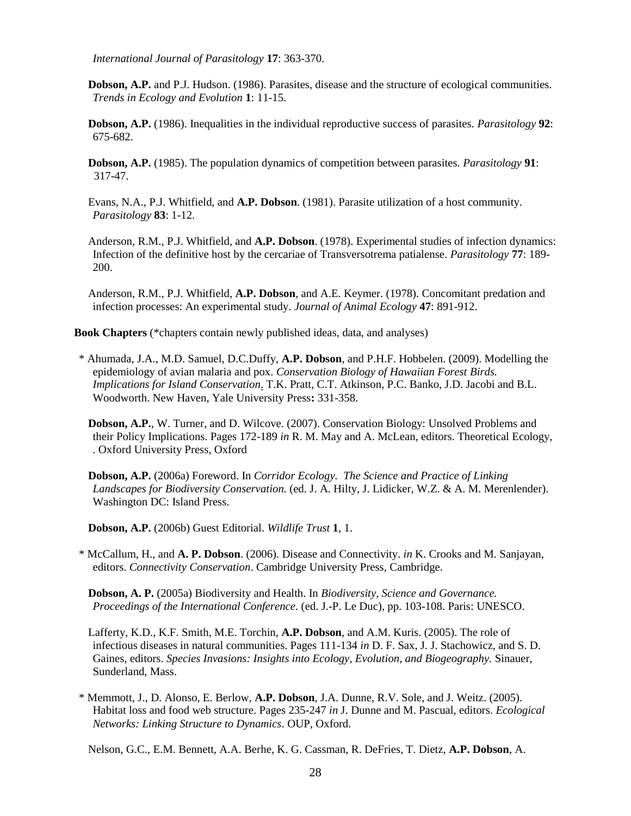*International Journal of Parasitology* **17**: 363-370.

**Dobson, A.P.** and P.J. Hudson. (1986). Parasites, disease and the structure of ecological communities. *Trends in Ecology and Evolution* **1**: 11-15.

**Dobson, A.P.** (1986). Inequalities in the individual reproductive success of parasites. *Parasitology* **92**: 675-682.

- **Dobson, A.P.** (1985). The population dynamics of competition between parasites. *Parasitology* **91**: 317-47.
- Evans, N.A., P.J. Whitfield, and **A.P. Dobson**. (1981). Parasite utilization of a host community. *Parasitology* **83**: 1-12.
- Anderson, R.M., P.J. Whitfield, and **A.P. Dobson**. (1978). Experimental studies of infection dynamics: Infection of the definitive host by the cercariae of Transversotrema patialense. *Parasitology* **77**: 189- 200.

Anderson, R.M., P.J. Whitfield, **A.P. Dobson**, and A.E. Keymer. (1978). Concomitant predation and infection processes: An experimental study. *Journal of Animal Ecology* **47**: 891-912.

**Book Chapters** (\*chapters contain newly published ideas, data, and analyses)

- \* Ahumada, J.A., M.D. Samuel, D.C.Duffy, **A.P. Dobson**, and P.H.F. Hobbelen. (2009). Modelling the epidemiology of avian malaria and pox. *Conservation Biology of Hawaiian Forest Birds. Implications for Island Conservation*. T.K. Pratt, C.T. Atkinson, P.C. Banko, J.D. Jacobi and B.L. Woodworth. New Haven, Yale University Press**:** 331-358.
	- **Dobson, A.P.**, W. Turner, and D. Wilcove. (2007). Conservation Biology: Unsolved Problems and their Policy Implications. Pages 172-189 *in* R. M. May and A. McLean, editors. Theoretical Ecology, . Oxford University Press, Oxford
	- **Dobson, A.P.** (2006a) Foreword. In *Corridor Ecology. The Science and Practice of Linking Landscapes for Biodiversity Conservation.* (ed. J. A. Hilty, J. Lidicker, W.Z. & A. M. Merenlender). Washington DC: Island Press.

**Dobson, A.P.** (2006b) Guest Editorial. *Wildlife Trust* **1**, 1.

\* McCallum, H., and **A. P. Dobson**. (2006). Disease and Connectivity. *in* K. Crooks and M. Sanjayan, editors. *Connectivity Conservation*. Cambridge University Press, Cambridge.

**Dobson, A. P.** (2005a) Biodiversity and Health. In *Biodiversity, Science and Governance. Proceedings of the International Conference.* (ed. J.-P. Le Duc), pp. 103-108. Paris: UNESCO.

Lafferty, K.D., K.F. Smith, M.E. Torchin, **A.P. Dobson**, and A.M. Kuris. (2005). The role of infectious diseases in natural communities. Pages 111-134 *in* D. F. Sax, J. J. Stachowicz, and S. D. Gaines, editors. *Species Invasions: Insights into Ecology, Evolution, and Biogeography.* Sinauer, Sunderland, Mass.

\* Memmott, J., D. Alonso, E. Berlow, **A.P. Dobson**, J.A. Dunne, R.V. Sole, and J. Weitz. (2005). Habitat loss and food web structure. Pages 235-247 *in* J. Dunne and M. Pascual, editors. *Ecological Networks: Linking Structure to Dynamics*. OUP, Oxford.

Nelson, G.C., E.M. Bennett, A.A. Berhe, K. G. Cassman, R. DeFries, T. Dietz, **A.P. Dobson**, A.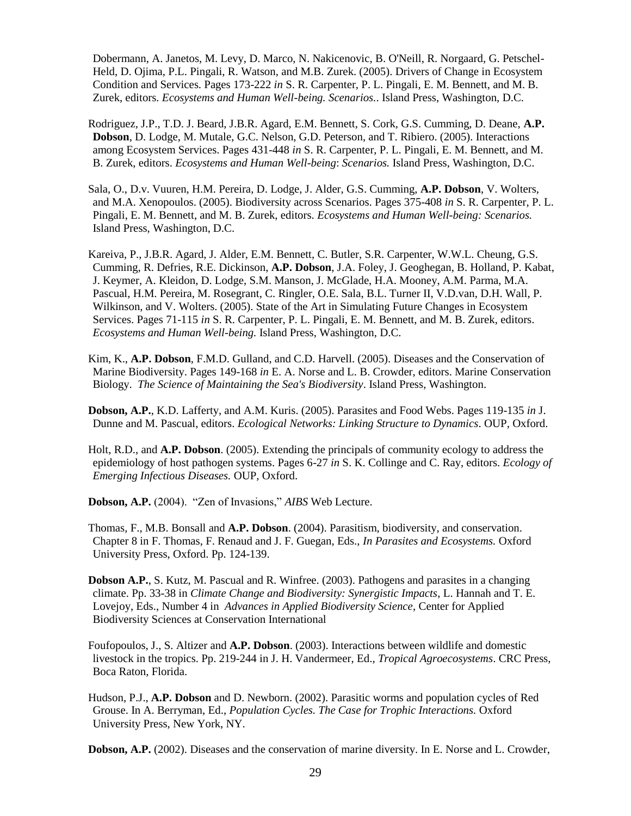Dobermann, A. Janetos, M. Levy, D. Marco, N. Nakicenovic, B. O'Neill, R. Norgaard, G. Petschel-Held, D. Ojima, P.L. Pingali, R. Watson, and M.B. Zurek. (2005). Drivers of Change in Ecosystem Condition and Services. Pages 173-222 *in* S. R. Carpenter, P. L. Pingali, E. M. Bennett, and M. B. Zurek, editors. *Ecosystems and Human Well-being. Scenarios.*. Island Press, Washington, D.C.

Rodriguez, J.P., T.D. J. Beard, J.B.R. Agard, E.M. Bennett, S. Cork, G.S. Cumming, D. Deane, **A.P. Dobson**, D. Lodge, M. Mutale, G.C. Nelson, G.D. Peterson, and T. Ribiero. (2005). Interactions among Ecosystem Services. Pages 431-448 *in* S. R. Carpenter, P. L. Pingali, E. M. Bennett, and M. B. Zurek, editors. *Ecosystems and Human Well-being*: *Scenarios.* Island Press, Washington, D.C.

- Sala, O., D.v. Vuuren, H.M. Pereira, D. Lodge, J. Alder, G.S. Cumming, **A.P. Dobson**, V. Wolters, and M.A. Xenopoulos. (2005). Biodiversity across Scenarios. Pages 375-408 *in* S. R. Carpenter, P. L. Pingali, E. M. Bennett, and M. B. Zurek, editors. *Ecosystems and Human Well-being: Scenarios.* Island Press, Washington, D.C.
- Kareiva, P., J.B.R. Agard, J. Alder, E.M. Bennett, C. Butler, S.R. Carpenter, W.W.L. Cheung, G.S. Cumming, R. Defries, R.E. Dickinson, **A.P. Dobson**, J.A. Foley, J. Geoghegan, B. Holland, P. Kabat, J. Keymer, A. Kleidon, D. Lodge, S.M. Manson, J. McGlade, H.A. Mooney, A.M. Parma, M.A. Pascual, H.M. Pereira, M. Rosegrant, C. Ringler, O.E. Sala, B.L. Turner II, V.D.van, D.H. Wall, P. Wilkinson, and V. Wolters. (2005). State of the Art in Simulating Future Changes in Ecosystem Services. Pages 71-115 *in* S. R. Carpenter, P. L. Pingali, E. M. Bennett, and M. B. Zurek, editors. *Ecosystems and Human Well-being.* Island Press, Washington, D.C.
- Kim, K., **A.P. Dobson**, F.M.D. Gulland, and C.D. Harvell. (2005). Diseases and the Conservation of Marine Biodiversity. Pages 149-168 *in* E. A. Norse and L. B. Crowder, editors. Marine Conservation Biology. *The Science of Maintaining the Sea's Biodiversity*. Island Press, Washington.

**Dobson, A.P.**, K.D. Lafferty, and A.M. Kuris. (2005). Parasites and Food Webs. Pages 119-135 *in* J. Dunne and M. Pascual, editors. *Ecological Networks: Linking Structure to Dynamics*. OUP, Oxford.

Holt, R.D., and **A.P. Dobson**. (2005). Extending the principals of community ecology to address the epidemiology of host pathogen systems. Pages 6-27 *in* S. K. Collinge and C. Ray, editors. *Ecology of Emerging Infectious Diseases.* OUP, Oxford.

**Dobson, A.P.** (2004). "Zen of Invasions," *AIBS* Web Lecture.

Thomas, F., M.B. Bonsall and **A.P. Dobson**. (2004). Parasitism, biodiversity, and conservation. Chapter 8 in F. Thomas, F. Renaud and J. F. Guegan, Eds., *In Parasites and Ecosystems.* Oxford University Press, Oxford. Pp. 124-139.

- **Dobson A.P.**, S. Kutz, M. Pascual and R. Winfree. (2003). Pathogens and parasites in a changing climate. Pp. 33-38 in *Climate Change and Biodiversity: Synergistic Impacts*, L. Hannah and T. E. Lovejoy, Eds., Number 4 in *Advances in Applied Biodiversity Science*, Center for Applied Biodiversity Sciences at Conservation International
- Foufopoulos, J., S. Altizer and **A.P. Dobson**. (2003). Interactions between wildlife and domestic livestock in the tropics. Pp. 219-244 in J. H. Vandermeer, Ed., *Tropical Agroecosystems*. CRC Press, Boca Raton, Florida.
- Hudson, P.J., **A.P. Dobson** and D. Newborn. (2002). Parasitic worms and population cycles of Red Grouse. In A. Berryman, Ed., *Population Cycles. The Case for Trophic Interactions.* Oxford University Press, New York, NY.

**Dobson, A.P.** (2002). Diseases and the conservation of marine diversity. In E. Norse and L. Crowder,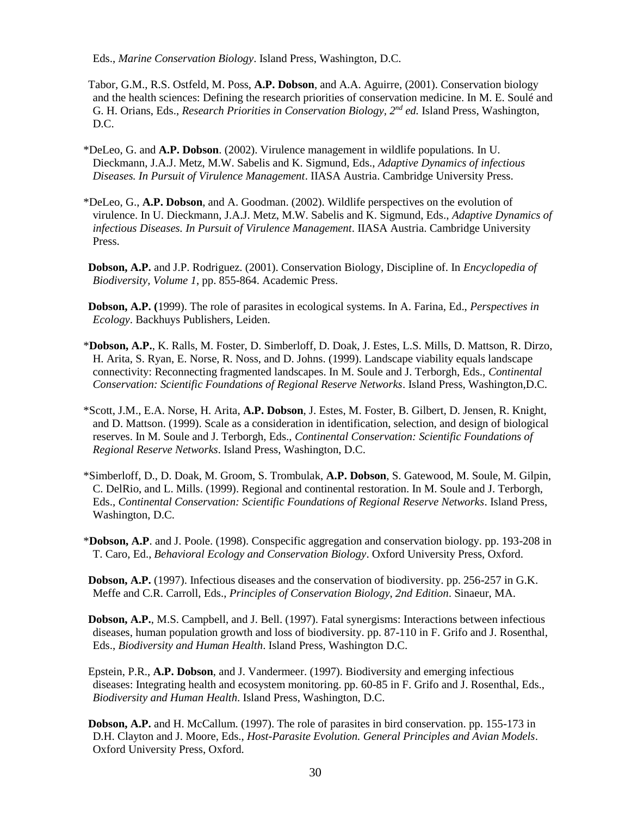Eds., *Marine Conservation Biology*. Island Press, Washington, D.C.

- Tabor, G.M., R.S. Ostfeld, M. Poss, **A.P. Dobson**, and A.A. Aguirre, (2001). Conservation biology and the health sciences: Defining the research priorities of conservation medicine. In M. E. Soulé and G. H. Orians, Eds., *Research Priorities in Conservation Biology, 2nd ed.* Island Press, Washington, D.C.
- \*DeLeo, G. and **A.P. Dobson**. (2002). Virulence management in wildlife populations. In U. Dieckmann, J.A.J. Metz, M.W. Sabelis and K. Sigmund, Eds., *Adaptive Dynamics of infectious Diseases. In Pursuit of Virulence Management*. IIASA Austria. Cambridge University Press.
- \*DeLeo, G., **A.P. Dobson**, and A. Goodman. (2002). Wildlife perspectives on the evolution of virulence. In U. Dieckmann, J.A.J. Metz, M.W. Sabelis and K. Sigmund, Eds., *Adaptive Dynamics of infectious Diseases. In Pursuit of Virulence Management*. IIASA Austria. Cambridge University Press.
- **Dobson, A.P.** and J.P. Rodriguez. (2001). Conservation Biology, Discipline of. In *Encyclopedia of Biodiversity, Volume 1*, pp. 855-864. Academic Press.
- **Dobson, A.P. (**1999). The role of parasites in ecological systems. In A. Farina, Ed., *Perspectives in Ecology*. Backhuys Publishers, Leiden.
- \***Dobson, A.P.**, K. Ralls, M. Foster, D. Simberloff, D. Doak, J. Estes, L.S. Mills, D. Mattson, R. Dirzo, H. Arita, S. Ryan, E. Norse, R. Noss, and D. Johns. (1999). Landscape viability equals landscape connectivity: Reconnecting fragmented landscapes. In M. Soule and J. Terborgh, Eds., *Continental Conservation: Scientific Foundations of Regional Reserve Networks*. Island Press, Washington,D.C.
- \*Scott, J.M., E.A. Norse, H. Arita, **A.P. Dobson**, J. Estes, M. Foster, B. Gilbert, D. Jensen, R. Knight, and D. Mattson. (1999). Scale as a consideration in identification, selection, and design of biological reserves. In M. Soule and J. Terborgh, Eds., *Continental Conservation: Scientific Foundations of Regional Reserve Networks*. Island Press, Washington, D.C.
- \*Simberloff, D., D. Doak, M. Groom, S. Trombulak, **A.P. Dobson**, S. Gatewood, M. Soule, M. Gilpin, C. DelRio, and L. Mills. (1999). Regional and continental restoration. In M. Soule and J. Terborgh, Eds., *Continental Conservation: Scientific Foundations of Regional Reserve Networks*. Island Press, Washington, D.C.
- \***Dobson, A.P**. and J. Poole. (1998). Conspecific aggregation and conservation biology. pp. 193-208 in T. Caro, Ed., *Behavioral Ecology and Conservation Biology*. Oxford University Press, Oxford.

**Dobson, A.P.** (1997). Infectious diseases and the conservation of biodiversity. pp. 256-257 in G.K. Meffe and C.R. Carroll, Eds., *Principles of Conservation Biology*, *2nd Edition*. Sinaeur, MA.

- **Dobson, A.P.**, M.S. Campbell, and J. Bell. (1997). Fatal synergisms: Interactions between infectious diseases, human population growth and loss of biodiversity. pp. 87-110 in F. Grifo and J. Rosenthal, Eds., *Biodiversity and Human Health*. Island Press, Washington D.C.
- Epstein, P.R., **A.P. Dobson**, and J. Vandermeer. (1997). Biodiversity and emerging infectious diseases: Integrating health and ecosystem monitoring. pp. 60-85 in F. Grifo and J. Rosenthal, Eds., *Biodiversity and Human Health*. Island Press, Washington, D.C.
- **Dobson, A.P.** and H. McCallum. (1997). The role of parasites in bird conservation. pp. 155-173 in D.H. Clayton and J. Moore, Eds., *Host-Parasite Evolution. General Principles and Avian Models*. Oxford University Press, Oxford.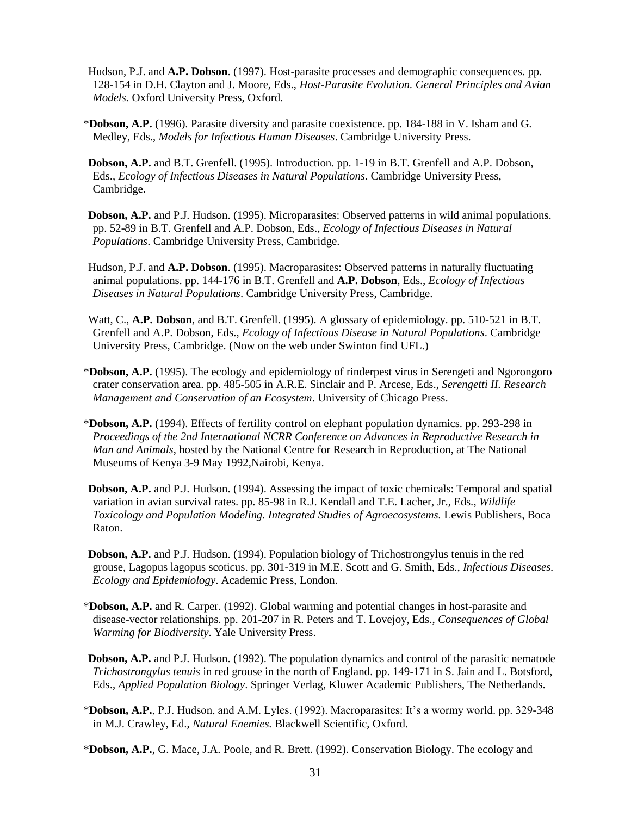- Hudson, P.J. and **A.P. Dobson**. (1997). Host-parasite processes and demographic consequences. pp. 128-154 in D.H. Clayton and J. Moore, Eds., *Host-Parasite Evolution. General Principles and Avian Models.* Oxford University Press, Oxford.
- \***Dobson, A.P.** (1996). Parasite diversity and parasite coexistence. pp. 184-188 in V. Isham and G. Medley, Eds., *Models for Infectious Human Diseases*. Cambridge University Press.
- **Dobson, A.P.** and B.T. Grenfell. (1995). Introduction. pp. 1-19 in B.T. Grenfell and A.P. Dobson, Eds., *Ecology of Infectious Diseases in Natural Populations*. Cambridge University Press, Cambridge.
- **Dobson, A.P.** and P.J. Hudson. (1995). Microparasites: Observed patterns in wild animal populations. pp. 52-89 in B.T. Grenfell and A.P. Dobson, Eds., *Ecology of Infectious Diseases in Natural Populations*. Cambridge University Press, Cambridge.
- Hudson, P.J. and **A.P. Dobson**. (1995). Macroparasites: Observed patterns in naturally fluctuating animal populations. pp. 144-176 in B.T. Grenfell and **A.P. Dobson**, Eds., *Ecology of Infectious Diseases in Natural Populations*. Cambridge University Press, Cambridge.
- Watt, C., **A.P. Dobson**, and B.T. Grenfell. (1995). A glossary of epidemiology. pp. 510-521 in B.T. Grenfell and A.P. Dobson, Eds., *Ecology of Infectious Disease in Natural Populations*. Cambridge University Press, Cambridge. (Now on the web under Swinton find UFL.)
- \***Dobson, A.P.** (1995). The ecology and epidemiology of rinderpest virus in Serengeti and Ngorongoro crater conservation area. pp. 485-505 in A.R.E. Sinclair and P. Arcese, Eds., *Serengetti II. Research Management and Conservation of an Ecosystem*. University of Chicago Press.
- \***Dobson, A.P.** (1994). Effects of fertility control on elephant population dynamics. pp. 293-298 in *Proceedings of the 2nd International NCRR Conference on Advances in Reproductive Research in Man and Animals*, hosted by the National Centre for Research in Reproduction, at The National Museums of Kenya 3-9 May 1992*,*Nairobi, Kenya.
- **Dobson, A.P.** and P.J. Hudson. (1994). Assessing the impact of toxic chemicals: Temporal and spatial variation in avian survival rates. pp. 85-98 in R.J. Kendall and T.E. Lacher, Jr., Eds.*, Wildlife Toxicology and Population Modeling. Integrated Studies of Agroecosystems.* Lewis Publishers, Boca Raton.
- **Dobson, A.P.** and P.J. Hudson. (1994). Population biology of Trichostrongylus tenuis in the red grouse, Lagopus lagopus scoticus. pp. 301-319 in M.E. Scott and G. Smith, Eds., *Infectious Diseases. Ecology and Epidemiology*. Academic Press, London.
- \***Dobson, A.P.** and R. Carper. (1992). Global warming and potential changes in host-parasite and disease-vector relationships. pp. 201-207 in R. Peters and T. Lovejoy, Eds., *Consequences of Global Warming for Biodiversity*. Yale University Press.
- **Dobson, A.P.** and P.J. Hudson. (1992). The population dynamics and control of the parasitic nematode *Trichostrongylus tenuis* in red grouse in the north of England. pp. 149-171 in S. Jain and L. Botsford, Eds., *Applied Population Biology*. Springer Verlag, Kluwer Academic Publishers, The Netherlands.
- \***Dobson, A.P.**, P.J. Hudson, and A.M. Lyles. (1992). Macroparasites: It's a wormy world. pp. 329-348 in M.J. Crawley, Ed., *Natural Enemies.* Blackwell Scientific, Oxford.
- \***Dobson, A.P.**, G. Mace, J.A. Poole, and R. Brett. (1992). Conservation Biology. The ecology and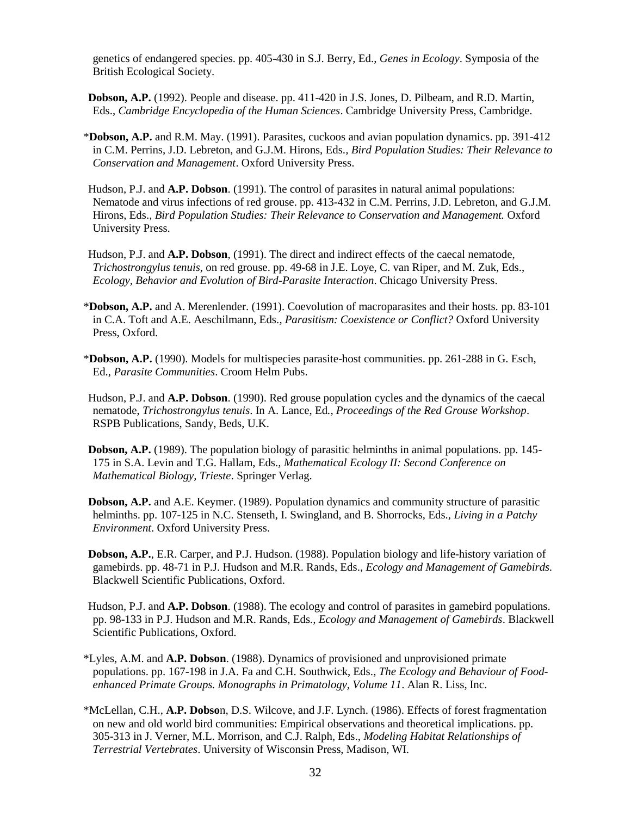genetics of endangered species. pp. 405-430 in S.J. Berry, Ed., *Genes in Ecology*. Symposia of the British Ecological Society.

- **Dobson, A.P.** (1992). People and disease. pp. 411-420 in J.S. Jones, D. Pilbeam, and R.D. Martin, Eds., *Cambridge Encyclopedia of the Human Sciences*. Cambridge University Press, Cambridge.
- \***Dobson, A.P.** and R.M. May. (1991). Parasites, cuckoos and avian population dynamics. pp. 391-412 in C.M. Perrins, J.D. Lebreton, and G.J.M. Hirons, Eds.*, Bird Population Studies: Their Relevance to Conservation and Management*. Oxford University Press.
- Hudson, P.J. and **A.P. Dobson**. (1991). The control of parasites in natural animal populations: Nematode and virus infections of red grouse. pp. 413-432 in C.M. Perrins, J.D. Lebreton, and G.J.M. Hirons, Eds.*, Bird Population Studies: Their Relevance to Conservation and Management.* Oxford University Press.
- Hudson, P.J. and **A.P. Dobson**, (1991). The direct and indirect effects of the caecal nematode, *Trichostrongylus tenuis*, on red grouse. pp. 49-68 in J.E. Loye, C. van Riper, and M. Zuk, Eds., *Ecology, Behavior and Evolution of Bird-Parasite Interaction*. Chicago University Press.
- \***Dobson, A.P.** and A. Merenlender. (1991). Coevolution of macroparasites and their hosts. pp. 83-101 in C.A. Toft and A.E. Aeschilmann, Eds.*, Parasitism: Coexistence or Conflict?* Oxford University Press, Oxford.
- \***Dobson, A.P.** (1990). Models for multispecies parasite-host communities. pp. 261-288 in G. Esch, Ed., *Parasite Communities*. Croom Helm Pubs.
- Hudson, P.J. and **A.P. Dobson**. (1990). Red grouse population cycles and the dynamics of the caecal nematode, *Trichostrongylus tenuis*. In A. Lance, Ed*., Proceedings of the Red Grouse Workshop*. RSPB Publications, Sandy, Beds, U.K.
- **Dobson, A.P.** (1989). The population biology of parasitic helminths in animal populations. pp. 145- 175 in S.A. Levin and T.G. Hallam, Eds.*, Mathematical Ecology II: Second Conference on Mathematical Biology, Trieste*. Springer Verlag.
- **Dobson, A.P.** and A.E. Keymer. (1989). Population dynamics and community structure of parasitic helminths. pp. 107-125 in N.C. Stenseth, I. Swingland, and B. Shorrocks, Eds., *Living in a Patchy Environment*. Oxford University Press.
- **Dobson, A.P.**, E.R. Carper, and P.J. Hudson. (1988). Population biology and life-history variation of gamebirds. pp. 48-71 in P.J. Hudson and M.R. Rands, Eds.*, Ecology and Management of Gamebirds.*  Blackwell Scientific Publications, Oxford.
- Hudson, P.J. and **A.P. Dobson**. (1988). The ecology and control of parasites in gamebird populations. pp. 98-133 in P.J. Hudson and M.R. Rands, Eds.*, Ecology and Management of Gamebirds*. Blackwell Scientific Publications, Oxford.
- \*Lyles, A.M. and **A.P. Dobson**. (1988). Dynamics of provisioned and unprovisioned primate populations. pp. 167-198 in J.A. Fa and C.H. Southwick, Eds.*, The Ecology and Behaviour of Foodenhanced Primate Groups. Monographs in Primatology, Volume 11*. Alan R. Liss, Inc.
- \*McLellan, C.H., **A.P. Dobso**n, D.S. Wilcove, and J.F. Lynch. (1986). Effects of forest fragmentation on new and old world bird communities: Empirical observations and theoretical implications. pp. 305-313 in J. Verner, M.L. Morrison, and C.J. Ralph, Eds., *Modeling Habitat Relationships of Terrestrial Vertebrates*. University of Wisconsin Press, Madison, WI.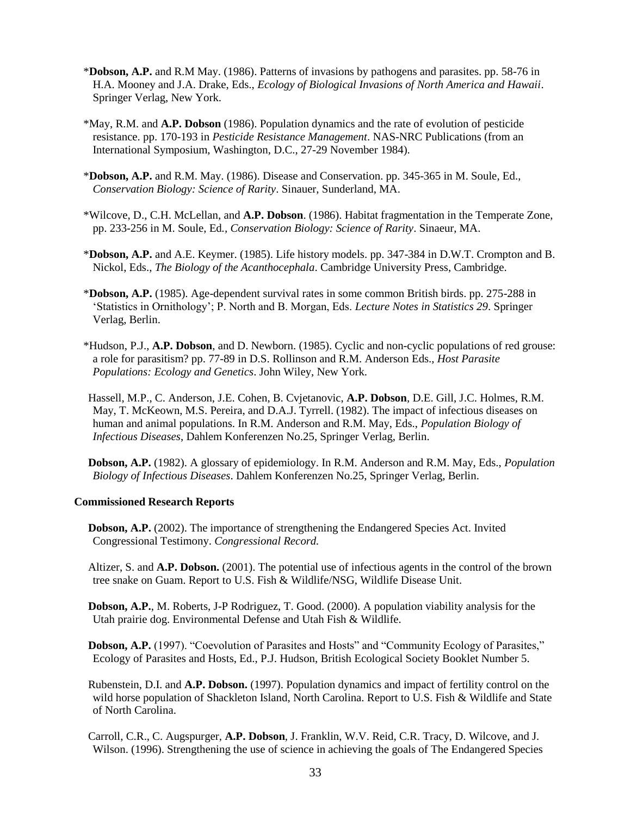- \***Dobson, A.P.** and R.M May. (1986). Patterns of invasions by pathogens and parasites. pp. 58-76 in H.A. Mooney and J.A. Drake, Eds., *Ecology of Biological Invasions of North America and Hawaii*. Springer Verlag, New York.
- \*May, R.M. and **A.P. Dobson** (1986). Population dynamics and the rate of evolution of pesticide resistance. pp. 170-193 in *Pesticide Resistance Management*. NAS-NRC Publications (from an International Symposium, Washington, D.C., 27-29 November 1984).
- \***Dobson, A.P.** and R.M. May. (1986). Disease and Conservation. pp. 345-365 in M. Soule, Ed., *Conservation Biology: Science of Rarity*. Sinauer, Sunderland, MA.
- \*Wilcove, D., C.H. McLellan, and **A.P. Dobson**. (1986). Habitat fragmentation in the Temperate Zone, pp. 233-256 in M. Soule, Ed*., Conservation Biology: Science of Rarity*. Sinaeur, MA.
- \***Dobson, A.P.** and A.E. Keymer. (1985). Life history models. pp. 347-384 in D.W.T. Crompton and B. Nickol, Eds., *The Biology of the Acanthocephala*. Cambridge University Press, Cambridge.
- \***Dobson, A.P.** (1985). Age-dependent survival rates in some common British birds. pp. 275-288 in 'Statistics in Ornithology'; P. North and B. Morgan, Eds. *Lecture Notes in Statistics 29*. Springer Verlag, Berlin.
- \*Hudson, P.J., **A.P. Dobson**, and D. Newborn. (1985). Cyclic and non-cyclic populations of red grouse: a role for parasitism? pp. 77-89 in D.S. Rollinson and R.M. Anderson Eds., *Host Parasite Populations: Ecology and Genetics*. John Wiley, New York.
- Hassell, M.P., C. Anderson, J.E. Cohen, B. Cvjetanovic, **A.P. Dobson**, D.E. Gill, J.C. Holmes, R.M. May, T. McKeown, M.S. Pereira, and D.A.J. Tyrrell. (1982). The impact of infectious diseases on human and animal populations. In R.M. Anderson and R.M. May, Eds., *Population Biology of Infectious Diseases*, Dahlem Konferenzen No.25, Springer Verlag, Berlin.

**Dobson, A.P.** (1982). A glossary of epidemiology. In R.M. Anderson and R.M. May, Eds., *Population Biology of Infectious Diseases*. Dahlem Konferenzen No.25, Springer Verlag, Berlin.

#### **Commissioned Research Reports**

- **Dobson, A.P.** (2002). The importance of strengthening the Endangered Species Act. Invited Congressional Testimony. *Congressional Record.*
- Altizer, S. and **A.P. Dobson.** (2001). The potential use of infectious agents in the control of the brown tree snake on Guam. Report to U.S. Fish & Wildlife/NSG, Wildlife Disease Unit.
- **Dobson, A.P.**, M. Roberts, J-P Rodriguez, T. Good. (2000). A population viability analysis for the Utah prairie dog. Environmental Defense and Utah Fish & Wildlife.
- **Dobson, A.P.** (1997). "Coevolution of Parasites and Hosts" and "Community Ecology of Parasites," Ecology of Parasites and Hosts, Ed., P.J. Hudson, British Ecological Society Booklet Number 5.
- Rubenstein, D.I. and **A.P. Dobson.** (1997). Population dynamics and impact of fertility control on the wild horse population of Shackleton Island, North Carolina. Report to U.S. Fish & Wildlife and State of North Carolina.
- Carroll, C.R., C. Augspurger, **A.P. Dobson**, J. Franklin, W.V. Reid, C.R. Tracy, D. Wilcove, and J. Wilson. (1996). Strengthening the use of science in achieving the goals of The Endangered Species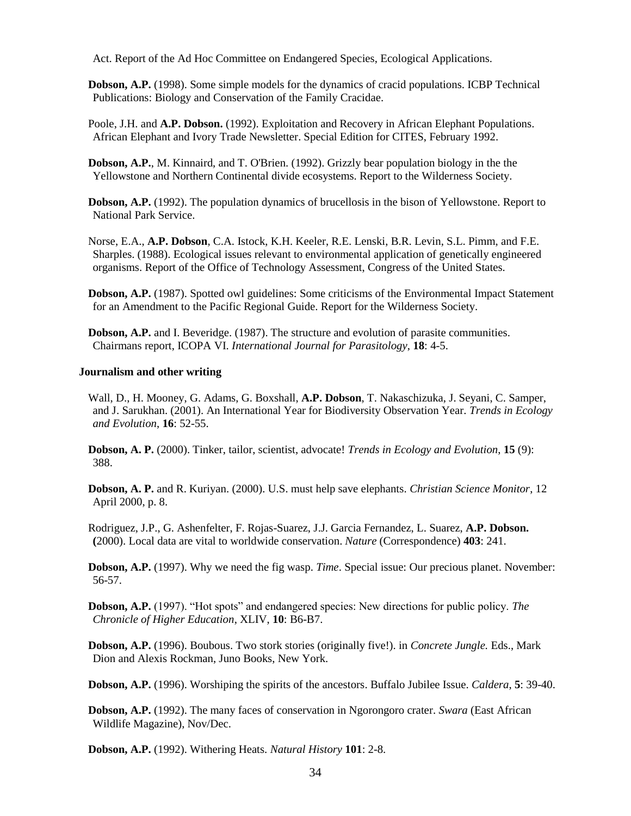Act. Report of the Ad Hoc Committee on Endangered Species, Ecological Applications.

**Dobson, A.P.** (1998). Some simple models for the dynamics of cracid populations. ICBP Technical Publications: Biology and Conservation of the Family Cracidae.

Poole, J.H. and **A.P. Dobson.** (1992). Exploitation and Recovery in African Elephant Populations. African Elephant and Ivory Trade Newsletter. Special Edition for CITES, February 1992.

**Dobson, A.P.**, M. Kinnaird, and T. O'Brien. (1992). Grizzly bear population biology in the the Yellowstone and Northern Continental divide ecosystems. Report to the Wilderness Society.

**Dobson, A.P.** (1992). The population dynamics of brucellosis in the bison of Yellowstone. Report to National Park Service.

Norse, E.A., **A.P. Dobson**, C.A. Istock, K.H. Keeler, R.E. Lenski, B.R. Levin, S.L. Pimm, and F.E. Sharples. (1988). Ecological issues relevant to environmental application of genetically engineered organisms. Report of the Office of Technology Assessment, Congress of the United States.

**Dobson, A.P.** (1987). Spotted owl guidelines: Some criticisms of the Environmental Impact Statement for an Amendment to the Pacific Regional Guide. Report for the Wilderness Society.

**Dobson, A.P.** and I. Beveridge. (1987). The structure and evolution of parasite communities. Chairmans report, ICOPA VI. *International Journal for Parasitology*, **18**: 4-5.

#### **Journalism and other writing**

Wall, D., H. Mooney, G. Adams, G. Boxshall, **A.P. Dobson**, T. Nakaschizuka, J. Seyani, C. Samper, and J. Sarukhan. (2001). An International Year for Biodiversity Observation Year. *Trends in Ecology and Evolution*, **16**: 52-55.

**Dobson, A. P.** (2000). Tinker, tailor, scientist, advocate! *Trends in Ecology and Evolution*, **15** (9): 388.

**Dobson, A. P.** and R. Kuriyan. (2000). U.S. must help save elephants. *Christian Science Monitor*, 12 April 2000, p. 8.

Rodriguez, J.P., G. Ashenfelter, F. Rojas-Suarez, J.J. Garcia Fernandez, L. Suarez, **A.P. Dobson. (**2000). Local data are vital to worldwide conservation. *Nature* (Correspondence) **403**: 241.

**Dobson, A.P.** (1997). Why we need the fig wasp. *Time*. Special issue: Our precious planet. November: 56-57.

**Dobson, A.P.** (1997). "Hot spots" and endangered species: New directions for public policy. *The Chronicle of Higher Education*, XLIV, **10**: B6-B7.

**Dobson, A.P.** (1996). Boubous. Two stork stories (originally five!). in *Concrete Jungle.* Eds., Mark Dion and Alexis Rockman, Juno Books, New York.

**Dobson, A.P.** (1996). Worshiping the spirits of the ancestors. Buffalo Jubilee Issue. *Caldera*, **5**: 39-40.

**Dobson, A.P.** (1992). The many faces of conservation in Ngorongoro crater. *Swara* (East African Wildlife Magazine), Nov/Dec.

**Dobson, A.P.** (1992). Withering Heats. *Natural History* **101**: 2-8.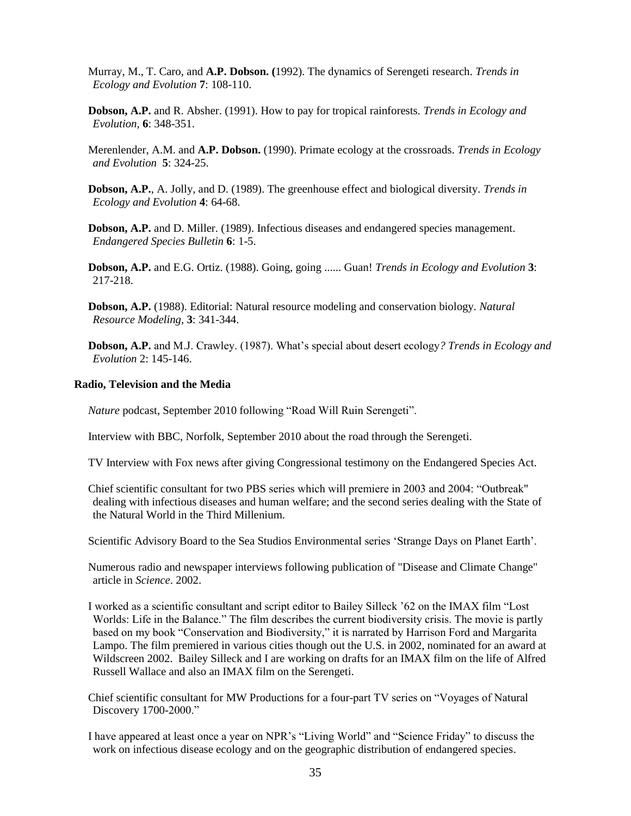Murray, M., T. Caro, and **A.P. Dobson. (**1992). The dynamics of Serengeti research. *Trends in Ecology and Evolution* **7**: 108-110.

**Dobson, A.P.** and R. Absher. (1991). How to pay for tropical rainforests*. Trends in Ecology and Evolution,* **6**: 348-351.

Merenlender, A.M. and **A.P. Dobson.** (1990). Primate ecology at the crossroads. *Trends in Ecology and Evolution* **5**: 324-25.

**Dobson, A.P.**, A. Jolly, and D. (1989). The greenhouse effect and biological diversity. *Trends in Ecology and Evolution* **4**: 64-68.

**Dobson, A.P.** and D. Miller. (1989). Infectious diseases and endangered species management. *Endangered Species Bulletin* **6**: 1-5.

**Dobson, A.P.** and E.G. Ortiz. (1988). Going, going ...... Guan! *Trends in Ecology and Evolution* **3**: 217-218.

**Dobson, A.P.** (1988). Editorial: Natural resource modeling and conservation biology. *Natural Resource Modeling,* **3**: 341-344.

**Dobson, A.P.** and M.J. Crawley. (1987). What's special about desert ecology*? Trends in Ecology and Evolution* 2: 145-146.

### **Radio, Television and the Media**

*Nature* podcast, September 2010 following "Road Will Ruin Serengeti".

Interview with BBC, Norfolk, September 2010 about the road through the Serengeti.

TV Interview with Fox news after giving Congressional testimony on the Endangered Species Act.

Chief scientific consultant for two PBS series which will premiere in 2003 and 2004: "Outbreak" dealing with infectious diseases and human welfare; and the second series dealing with the State of the Natural World in the Third Millenium.

Scientific Advisory Board to the Sea Studios Environmental series 'Strange Days on Planet Earth'.

Numerous radio and newspaper interviews following publication of "Disease and Climate Change" article in *Science*. 2002.

I worked as a scientific consultant and script editor to Bailey Silleck '62 on the IMAX film "Lost Worlds: Life in the Balance." The film describes the current biodiversity crisis. The movie is partly based on my book "Conservation and Biodiversity," it is narrated by Harrison Ford and Margarita Lampo. The film premiered in various cities though out the U.S. in 2002, nominated for an award at Wildscreen 2002. Bailey Silleck and I are working on drafts for an IMAX film on the life of Alfred Russell Wallace and also an IMAX film on the Serengeti.

Chief scientific consultant for MW Productions for a four-part TV series on "Voyages of Natural Discovery 1700-2000."

I have appeared at least once a year on NPR's "Living World" and "Science Friday" to discuss the work on infectious disease ecology and on the geographic distribution of endangered species.